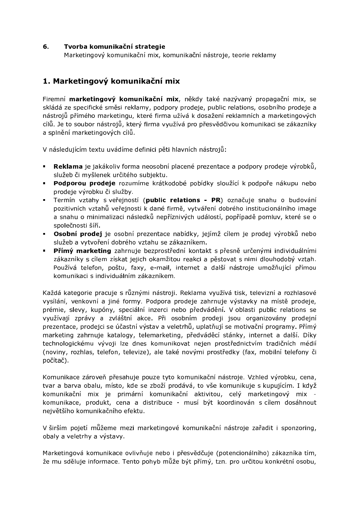#### 6. Tvorba komunikační strategie

Marketingový komunikační mix, komunikační nástroje, teorie reklamy

# 1. Marketingový komunikační mix

Firemní marketingový komunikační mix, někdy také nazývaný propagační mix, se skládá ze specifické směsi reklamy, podpory prodeje, public relations, osobního prodeje a nástrojů přímého marketingu, které firma užívá k dosažení reklamních a marketingových cílů. Je to soubor nástrojů, který firma využívá pro přesvědčivou komunikaci se zákazníky a splnění marketingových cílů.

V následujícím textu uvádíme definici pěti hlavních nástrojů:

- Reklama je jakákoliv forma neosobní placené prezentace a podpory prodeje výrobků,  $\mathbf{B}$  and služeb či myšlenek určitého subjektu.
- · Podporou prodeje rozumíme krátkodobé pobídky sloužící k podpoře nákupu nebo prodeje výrobku či služby.
- · Termín vztahy s veřejností (public relations PR) označuje snahu o budování pozitivních vztahů veřejnosti k dané firmě, vytváření dobrého institucionálního image a snahu o minimalizaci následků nepříznivých událostí, popřípadě pomluv, které se o společnosti šíří.
- · Osobní prodej je osobní prezentace nabídky, jejímž cílem je prodej výrobků nebo služeb a vytvoření dobrého vztahu se zákazníkem.
- · Přímý marketing zahrnuje bezprostřední kontakt s přesně určenými individuálními zákazníky s cílem získat jejich okamžitou reakci a pěstovat s nimi dlouhodobý vztah. Používá telefon, poštu, faxy, e-mail, internet a další nástroje umožňující přímou komunikaci s individuálním zákazníkem.

Každá kategorie pracuje s různými nástroji. Reklama využívá tisk, televizní a rozhlasové vysílání, venkovní a jiné formy. Podpora prodeje zahrnuje výstavky na místě prodeje, prémie, slevy, kupóny, speciální inzerci nebo předvádění. V oblasti public relations se využívají zprávy a zvláštní akce. Při osobním prodeji jsou organizovány prodejní prezentace, prodejci se účastní výstav a veletrhů, uplatňují se motivační programy. Přímý marketing zahrnuje katalogy, telemarketing, předváděcí stánky, internet a další. Díky technologickému vývoji lze dnes komunikovat nejen prostřednictvím tradičních médií (noviny, rozhlas, telefon, televize), ale také novými prostředky (fax, mobilní telefony či počítač).

Komunikace zároveň přesahuje pouze tyto komunikační nástroje. Vzhled výrobku, cena, tvar a barva obalu, místo, kde se zboží prodává, to vše komunikuje s kupujícím. I když komunikační mix je primární komunikační aktivitou, celý marketingový mix komunikace, produkt, cena a distribuce - musí být koordinován s cílem dosáhnout největšího komunikačního efektu.

V širším pojetí můžeme mezi marketingové komunikační nástroje zařadit i sponzoring, obaly a veletrhy a výstavy.

Marketingová komunikace ovlivňuje nebo i přesvědčuje (potencionálního) zákazníka tím, že mu sděluje informace. Tento pohyb může být přímý, tzn. pro určitou konkrétní osobu,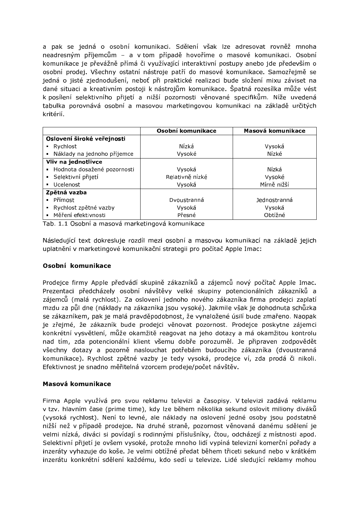a pak se jedná o osobní komunikaci. Sdělení však lze adresovat rovněž mnoha neadresným příjemcům – a v tom případě hovoříme o masové komunikaci. Osobní komunikace je převážně přímá či využívající interaktivní postupy anebo jde především o osobní prodej. Všechny ostatní nástroje patří do masové komunikace. Samozřejmě se jedná o jisté zjednodušení, neboť při praktické realizaci bude složení mixu záviset na dané situaci a kreativním postoji k nástrojům komunikace. Špatná rozesílka může vést k posílení selektivního přijetí a nižší pozornosti věnované specifikům. Níže uvedená tabulka porovnává osobní a masovou marketingovou komunikaci na základě určitých kritérií.

|                               | Osobní komunikace | Masová komunikace |
|-------------------------------|-------------------|-------------------|
| Oslovení široké veřejnosti    |                   |                   |
| • Rychlost                    | Nízká             | Vysoká            |
| • Náklady na jednoho příjemce | Vysoké            | Nízké             |
| Vliv na jednotlivce           |                   |                   |
| Hodnota dosažené pozornosti   | Vysoká            | Nízká             |
| · Selektivní přijetí          | Relativně nízké   | Vysoké            |
| Ucelenost<br>$\blacksquare$   | Vysoká            | Mírně nižší       |
| Zpětná vazba                  |                   |                   |
| - Přímost                     | Dyoustranná       | Jednostranná      |
| • Rychlost zpětné vazby       | Vysoká            | Vysoká            |
| · Měření efektivnosti         | Přesné            | Obtížné           |

Tab. 1.1 Osobní a masová marketingová komunikace  $\mathbb{R}^{n \times n}$  . The contract of  $\mathbb{R}^{n \times n}$  was defined by  $\mathbb{R}^{n \times n}$ 

Následující text dokresluje rozdíl mezi osobní a masovou komunikací na základě jejich uplatnění v marketingové komunikační strategii pro počítač Apple Imac:

#### Osobní komunikace

Prodejce firmy Apple předvádí skupině zákazníků a zájemců nový počítač Apple Imac. Prezentaci předcházely osobní návštěvy velké skupiny potencionálních zákazníků a zájemců (malá rychlost). Za oslovení jednoho nového zákazníka firma prodejci zaplatí mzdu za půl dne (náklady na zákazníka isou vysoké). Jakmile však je dohodnuta schůzka se zákazníkem, pak je malá pravděpodobnost, že vynaložené úsilí bude zmařeno. Naopak je zřejmé, že zákazník bude prodejci věnovat pozornost. Prodejce poskytne zájemci konkrétní vysvětlení, může okamžitě reagovat na jeho dotazy a má okamžitou kontrolu nad tím, zda potencionální klient všemu dobře porozuměl. Je připraven zodpovědět všechny dotazy a pozorně naslouchat potřebám budoucího zákazníka (dvoustranná komunikace). Rychlost zpětné vazby je tedy vysoká, prodejce ví, zda prodá či nikoli. Efektivnost je snadno měřitelná vzorcem prodeje/počet návštěv.

#### Masová komunikace

Firma Apple využívá pro svou reklamu televizi a časopisy. V televizi zadává reklamu v tzv. hlavním čase (prime time), kdy lze během několika sekund oslovit miliony diváků (vysoká rychlost). Není to levné, ale náklady na oslovení jedné osoby jsou podstatně nižší než v případě prodejce. Na druhé straně, pozornost věnovaná danému sdělení je velmi nízká, diváci si povídají s rodinnými příslušníky, čtou, odcházejí z místnosti apod. Selektivní přijetí je ovšem vysoké, protože mnoho lidí vypíná televizní komerční pořady a inzeráty vyhazuje do koše. Je velmi obtížné předat během třiceti sekund nebo v krátkém inzerátu konkrétní sdělení každému, kdo sedí u televize. Lidé sledující reklamy mohou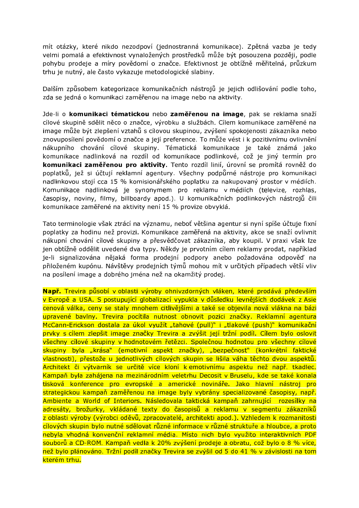mít otázky, které nikdo nezodpoví (jednostranná komunikace). Zpětná vazba je tedy velmi pomalá a efektivnost vynaložených prostředků může být posouzena později, podle pohybu prodeje a míry povědomí o značce. Efektivnost je obtížně měřitelná, průzkum trhu je nutný, ale často vykazuje metodologické slabiny.

Dalším způsobem kategorizace komunikačních nástrojů je jejich odlišování podle toho, zda se jedná o komunikaci zaměřenou na image nebo na aktivity.

Jde-li o komunikaci tématickou nebo zaměřenou na image, pak se reklama snaží cílové skupině sdělit něco o značce, výrobku a službách. Cílem komunikace zaměřené na jmage může být zlepšení vztahů s cílovou skupinou, zvýšení spokojenosti zákazníka nebo znovuposílení povědomí o značce a její preference. To může vést i k pozitivnímu ovlivnění nákupního chování cílové skupiny. Tématická komunikace je také známá jako komunikace nadlinková na rozdíl od komunikace podlinkové, což je jiný termín pro komunikaci zaměřenou pro aktivity. Tento rozdíl linií, úrovní se promítá rovněž do poplatků, jež si účtují reklamní agentury. Všechny podpůrné nástroje pro komunikaci nadlinkovou stojí cca 15 % komisionářského poplatku za nakupovaný prostor v médiích. Komunikace nadlinková je synonymem pro reklamu v médiích (televize, rozhlas, časopisy, noviny, filmy, billboardy apod.). U komunikačních podlinkových nástrojů čili komunikace zaměřené na aktivity není 15 % provize obvyklá.

Tato terminologie však ztrácí na významu, neboť většina agentur si nyní spíše účtuje fixní poplatky za hodinu než provizi. Komunikace zaměřená na aktivity, akce se snaží ovlivnit nákupní chování cílové skupiny a přesvědčovat zákazníka, aby koupil. V praxi však lze jen obtížně oddělit uvedené dva tvpy. Někdy je prvotním cílem reklamy prodat, například je-li signalizována nějaká forma prodejní podpory anebo požadována odpověď na přiloženém kupónu. Návštěvy prodejních týmů mohou mít v určitých případech větší vliv na posílení image a dobrého iména než na okamžitý prodej.

Např. Trevira působí v oblasti výroby ohnivzdorných vláken, které prodává především v Evropě a USA. S postupující globalizací vypukla v důsledku levnějších dodávek z Asie cenová válka, ceny se staly mnohem citlivějšími a také se objevila nová vlákna na bázi upravené bavlny. Trevira pocítila nutnost obnovit pozici značky. Reklamní agentura McCann-Erickson dostala za úkol využít "tahové (pull)" i "tlakové (push)" komunikační prvky s cílem zlepšit image značky Trevira a zvýšit její tržní podíl. Cílem bylo oslovit všechny cílové skupiny v hodnotovém řetězci. Společnou hodnotou pro všechny cílové skupiny byla "krása" (emotivní aspekt značky), "bezpečnosť" (konkrétní faktické vlastnosti), přestože u jednotlivých cílových skupin se lišila váha těchto dvou aspektů. Architekt či výtvarník se určitě více kloní k emotivnímu aspektu než např. tkadlec. Kampaň byla zahájena na mezinárodním veletrhu Decosit v Bruselu, kde se také konala tisková konference pro evropské a americké novináře. Jako hlavní nástroj pro strategickou kampaň zaměřenou na image byly vybrány specializované časopisy, např. Ambiente a World of Interiors. Následovala taktická kampaň zahrnující rozesílky na adresáty, brožurky, vkládané texty do časopisů a reklamu v segmentu zákazníků z oblasti výroby (výrobci oděvů, zpracovatelé, architekti apod.). Vzhledem k rozmanitosti cílových skupin bylo nutné sdělovat různé informace v různé struktuře a hloubce, a proto nebyla vhodná konvenční reklamní média. Místo nich bylo využito interaktivních PDF souborů a CD-ROM. Kampaň vedla k 20% zvýšení prodeje a obratu, což bylo o 8 % více, než bylo plánováno. Tržní podíl značky Trevira se zvýšil od 5 do 41 % v závislosti na tom kterém trhu.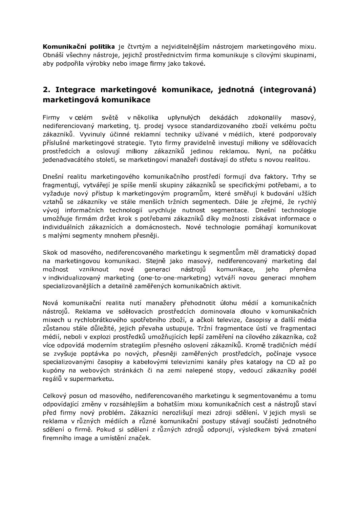**Komunikační politika** je čtvrtým a nejviditelnějším nástrojem marketingového mixu. Obnáší všechny nástroje, jejichž prostřednictvím firma komunikuje s cílovými skupinami, aby podpořila výrobky nebo image firmy jako takové.

# 2. Integrace marketingové komunikace, jednotná (integrovaná) marketingová komunikace

Firmy v celém světě v několika uplynulých dekádách zdokonalily masový, nediferenciovaný marketing, tj. prodej vysoce standardizovaného zboží velkému počtu zákazníků. Vyvinuly účinné reklamní techniky užívané v médiích, které podporovaly příslušné marketingové strategie. Tyto firmy pravidelně investují miliony ve sdělovacích prostředcích a oslovují miliony zákazníků jedinou reklamou. Nyní, na počátku jedenadvacátého století, se marketingoví manažeři dostávají do střetu s novou realitou.

Dnešní realitu marketingového komunikačního prostředí formují dva faktory. Trhy se fragmentují, vytvářejí je spíše menší skupiny zákazníků se specifickými potřebami, a to vyžaduje nový přístup k marketingovým programům, které směřují k budování užších vztahů se zákazníky ve stále menších tržních segmentech. Dále je zřejmé, že rychlý vývoj informačních technologií urychluje nutnost segmentace. Dnešní technologie umožňuje firmám držet krok s potřebami zákazníků díky možnosti získávat informace o individuálních zákaznících a domácnostech. Nové technologie pomáhají komunikovat s malými segmenty mnohem přesněji.

Skok od masového, nediferencovaného marketingu k segmentům měl dramatický dopad na marketingovou komunikaci. Stejně jako masový, nediferencovaný marketing dal možnost vzniknout nové generaci nástrojů komunikace, jeho přeměna v individualizovaný marketing (one-to-one-marketing) vytváří novou generaci mnohem specializovanějších a detailně zaměřených komunikačních aktivit.

Nová komunikační realita nutí manažery přehodnotit úlohu médií a komunikačních nástroiů. Reklama ve sdělovacích prostředcích dominovala dlouho v komunikačních mixech u rychlobrátkového spotřebního zboží, a ačkoli televize, časopisy a další média zůstanou stále důležité, jejich převaha ustupuje. Tržní fragmentace ústí ve fragmentaci médií, neboli v explozi prostředků umožňujících lepší zaměření na cílového zákazníka, což více odpovídá moderním strategiím přesného oslovení zákazníků. Kromě tradičních médií se zvyšuje poptávka po nových, přesněji zaměřených prostředcích, počínaje vysoce specializovanými časopisy a kabelovými televizními kanály přes katalogy na CD až po kupóny na webových stránkách či na zemi nalepené stopy, vedoucí zákazníky podél regálů v supermarketu.

Celkový posun od masového, nediferencovaného marketingu k segmentovanému a tomu odpovídající změny v rozsáhlejším a bohatším mixu komunikačních cest a nástrojů staví před firmy nový problém. Zákazníci nerozlišují mezi zdroji sdělení. V jejich mysli se reklama v různých médiích a různé komunikační postupy stávají součástí jednotného sdělení o firmě. Pokud si sdělení z různých zdrojů odporují, výsledkem bývá zmatení firemního image a umístění značek.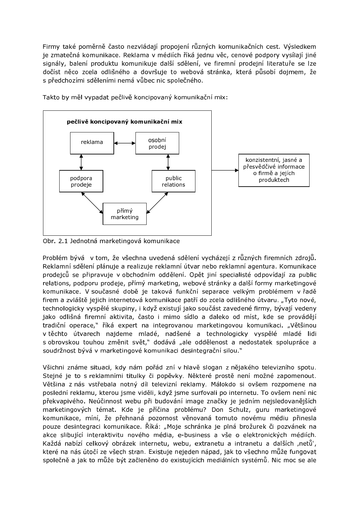Firmy také poměrně často nezvládají propojení různých komunikačních cest. Výsledkem je zmatečná komunikace. Reklama v médiích říká jednu věc, cenové podpory vysílají jiné signály, balení produktu komunikuje další sdělení, ve firemní prodejní literatuře se lze dočíst něco zcela odlišného a dovršuje to webová stránka, která působí dojmem, že s předchozími sděleními nemá vůbec nic společného.



Takto by měl vypadat pečlivě koncipovaný komunikační mix:

Obr. 2.1 Jednotná marketingová komunikace

Problém bývá v tom, že všechna uvedená sdělení vycházejí z různých firemních zdrojů. Reklamní sdělení plánuje a realizuje reklamní útvar nebo reklamní agentura. Komunikace prodejců se připravuje v obchodním oddělení. Opět jiní specialisté odpovídají za public relations, podporu prodeje, přímý marketing, webové stránky a další formy marketingové komunikace. V současné době je taková funkční separace velkým problémem v řadě firem a zvláště jejich internetová komunikace patří do zcela odlišného útvaru. "Tyto nové, technologicky vyspělé skupiny, i když existují jako součást zavedené firmy, bývají vedeny jako odlišná firemní aktivita, často i mimo sídlo a daleko od míst, kde se provádějí tradiční operace," říká expert na integrovanou marketingovou komunikaci. "Většinou v těchto útvarech najdeme mladé, nadšené a technologicky vyspělé mladé lidi s obrovskou touhou změnit svět," dodává "ale oddělenost a nedostatek spolupráce a soudržnost bývá v marketingové komunikaci desintegrační silou."

Všichni známe situaci, kdy nám pořád zní v hlavě slogan z nějakého televizního spotu. Stejné je to s reklamními titulky či popěvky. Některé prostě není možné zapomenout. Většina z nás vstřebala notný díl televizní reklamy. Málokdo si ovšem rozpomene na poslední reklamu, kterou jsme viděli, když jsme surfovali po internetu. To ovšem není nic překvapivého. Neúčinnost webu při budování image značky je jedním nejsledovanějších marketingových témat. Kde je příčina problému? Don Schulz, guru marketingové komunikace, míní, že přehnaná pozornost věnovaná tomuto novému médiu přinesla pouze desintegraci komunikace. Říká: "Moje schránka je plná brožurek či pozvánek na akce slibující interaktivitu nového média, e-business a vše o elektronických médiích. Každá nabízí celkový obrázek internetu, webu, extranetu a intranetu a dalších "netů", které na nás útočí ze všech stran. Existuje nejeden nápad, jak to všechno může fungovat společně a jak to může být začleněno do existujících mediálních systémů. Nic moc se ale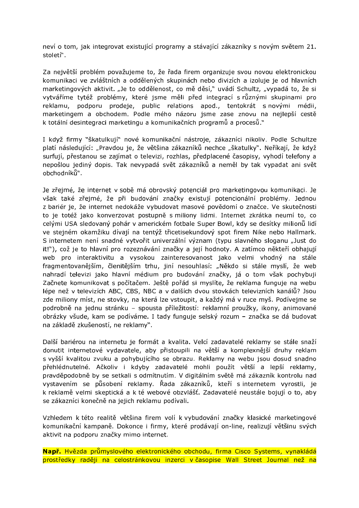neví o tom, jak integrovat existující programy a stávající zákazníky s novým světem 21. století".

Za největší problém považujeme to, že řada firem organizuje svou novou elektronickou komunikaci ve zvláštních a oddělených skupinách nebo divizích a izoluje je od hlavních marketingových aktivit. "Je to oddělenost, co mě děsí," uvádí Schultz, "vypadá to, že si vytváříme tytéž problémy, které jsme měli před integrací s různými skupinami pro reklamu, podporu prodeje, public relations apod., tentokrát s novými médii, marketingem a obchodem. Podle mého názoru jsme zase znovu na nejlepší cestě k totální desintegraci marketingu a komunikačních programů a procesů."

I když firmy "škatulkují" nové komunikační nástroje, zákazníci nikoliv. Podle Schultze platí následující: "Pravdou je, že většina zákazníků nechce "škatulky". Neříkají, že když surfují, přestanou se zajímat o televizi, rozhlas, předplacené časopisy, vyhodí telefony a nepošlou jediný dopis. Tak nevypadá svět zákazníků a neměl by tak vypadat ani svět obchodníků<sup>w</sup>.

Je zřejmé, že internet v sobě má obrovský potenciál pro marketingovou komunikaci. Je však také zřejmé, že při budování značky existují potencionální problémy. Jednou z bariér je, že internet nedokáže vybudovat masové povědomí o značce. Ve skutečnosti to je totéž jako konverzovat postupně s miliony lidmi. Internet zkrátka neumí to, co celými USA sledovaný pohár v americkém fotbale Super Bowl, kdy se desítky milionů lidí ve stejném okamžiku dívají na tentýž třicetisekundový spot firem Nike nebo Hallmark. S internetem není snadné vytvořit univerzální význam (typu slavného sloganu "Just do it!"), což je to hlavní pro rozeznávání značky a její hodnoty. A zatímco někteří obhajují web pro interaktivitu a vysokou zainteresovanost jako velmi vhodný na stále fragmentovanějším, členitějším trhu, jiní nesouhlasí: "Někdo si stále myslí, že web nahradí televizi jako hlavní médium pro budování značky, já o tom však pochybuji Začnete komunikovat s počítačem. Ještě pořád si myslíte, že reklama funguje na webu lépe než v televizích ABC, CBS, NBC a v dalších dvou stovkách televizních kanálů? Jsou zde miliony míst, ne stovky, na která lze vstoupit, a každý má v ruce myš. Podívejme se podrobně na jednu stránku – spousta příležitostí: reklamní proužky, ikony, animované obrázky všude, kam se podíváme. I tady funguje selský rozum - značka se dá budovat na základě zkušeností, ne reklamy".

Další bariérou na internetu je formát a kvalita. Velcí zadavatelé reklamy se stále snaží donutit internetové vydavatele, aby přistoupili na větší a komplexnější druhy reklam s vyšší kvalitou zvuku a pohybujícího se obrazu. Reklamy na webu jsou dosud snadno přehlédnutelné. Ačkoliv i kdyby zadavatelé mohli použít větší a lepší reklamy, pravděpodobně by se setkali s odmítnutím. V digitálním světě má zákazník kontrolu nad vystavením se působení reklamy. Řada zákazníků, kteří s internetem vyrostli, je k reklamě velmi skeptická a k té webové obzvlášť. Zadavatelé neustále bojují o to, aby se zákazníci konečně na jejich reklamu podívali.

Vzhledem k této realitě většina firem volí k vybudování značky klasické marketingové komunikační kampaně. Dokonce i firmy, které prodávají on-line, realizují většinu svých aktivit na podporu značky mimo internet.

Např. Hvězda průmyslového elektronického obchodu, firma Cisco Systems, vynakládá prostředky raději na celostránkovou inzerci v časopise Wall Street Journal než na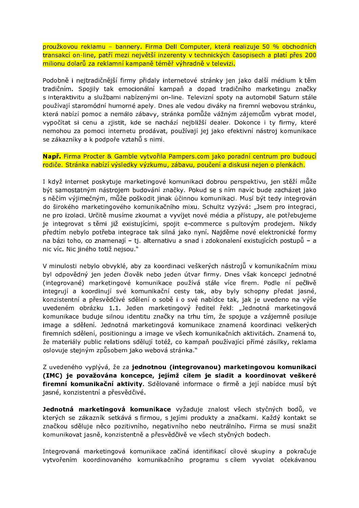proužkovou reklamu - bannery. Firma Dell Computer, která realizuje 50 % obchodních transakcí on-line, patří mezi největší inzerenty v technických časopisech a platí přes 200 miljonu dolarů za reklamní kampaně téměř výhradně v televizi.

Podobně i nejtradičnější firmy přidaly internetové stránky jen jako další médium k těm tradičním. Spojily tak emocionální kampaň a dopad tradičního marketingu značky s interaktivitu a službami nabízenými on-line. Televizní spoty na automobil Saturn stále používají staromódní humorné apely. Dnes ale vedou diváky na firemní webovou stránku, která nabízí pomoc a nemálo zábavy, stránka pomůže vážným zájemcům vybrat model, vypočítat si cenu a zjistit, kde se nachází nejbližší dealer. Dokonce i ty firmy, které nemohou za pomoci internetu prodávat, používají jej jako efektivní nástroj komunikace se zákazníky a k podpoře vztahů s nimi.

Např. Firma Procter & Gamble vytvořila Pampers.com jako poradní centrum pro budoucí rodiče. Stránka nabízí výsledky výzkumu, zábavu, poučení a diskusi nejen o plenkách.

I když internet poskytuje marketingové komunikaci dobrou perspektivu, jen stěží může být samostatným nástrojem budování značky. Pokud se s ním navíc bude zacházet jako s něčím výjimečným, může poškodit jinak účinnou komunikaci. Musí být tedy integrován do širokého marketingového komunikačního mixu. Schultz vyzývá: "Jsem pro integraci, ne pro izolaci. Určitě musíme zkoumat a vyvíjet nové média a přístupy, ale potřebujeme je integrovat s těmi již existujícími, spojit e-commerce s pultovým prodejem. Nikdy předtím nebylo potřeba integrace tak silná jako nyní. Najděme nové elektronické formy na bázi toho, co znamenají - tj. alternativu a snad i zdokonalení existujících postupů - a nic víc. Nic jiného totiž nejsou."

V minulosti nebylo obvyklé, aby za koordinaci veškerých nástrojů v komunikačním mixu byl odpovědný jen jeden člověk nebo jeden útvar firmy. Dnes však koncepci jednotné (integrované) marketingové komunikace používá stále více firem. Podle ní pečlivě integrují a koordinují své komunikační cesty tak, aby byly schopny předat jasné, konzistentní a přesvědčivé sdělení o sobě i o své nabídce tak, jak je uvedeno na výše uvedeném obrázku 1.1. Jeden marketingový ředitel řekl: "Jednotná marketingová komunikace buduje silnou identitu značky na trhu tím, že spojuje a vzájemně posiluje image a sdělení. Jednotná marketingová komunikace znamená koordinaci veškerých firemních sdělení, positioningu a image ve všech komunikačních aktivitách. Znamená to, že materiály public relations sdělují totéž, co kampaň používající přímé zásilky, reklama oslovuje stejným způsobem jako webová stránka."

Z uvedeného vyplývá, že za iednotnou (integrovanou) marketingovou komunikaci (IMC) je považována koncepce, jejímž cílem je sladit a koordinovat veškeré firemní komunikační aktivity. Sdělované informace o firmě a její nabídce musí být jasné, konzistentní a přesvědčivé.

Jednotná marketingová komunikace vyžaduje znalost všech styčných bodů, ve kterých se zákazník setkává s firmou, s jejími produkty a značkami. Každý kontakt se značkou sděluje něco pozitivního, negativního nebo neutrálního. Firma se musí snažit komunikovat jasně, konzistentně a přesvědčivě ve všech styčných bodech.

Integrovaná marketingová komunikace začíná identifikací cílové skupiny a pokračuje vytvořením koordinovaného komunikačního programu s cílem vyvolat očekávanou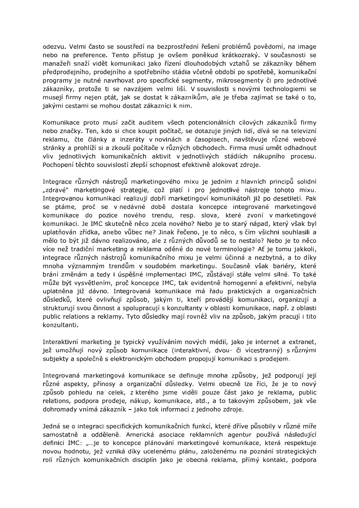odezvu. Velmi často se soustředí na bezprostřední řešení problémů povědomí, na image nebo na preference. Tento přístup je ovšem poněkud krátkozraký. V současnosti se manažeři snaží vidět komunikaci jako řízení dlouhodobých vztahů se zákazníky během předprodejního, prodejního a spotřebního stádia včetně období po spotřebě, komunikační programy je nutné navrhovat pro specifické segmenty, mikrosegmenty či pro jednotlivé zákazníky, protože ti se navzájem velmi liší. V souvislosti s novými technologiemi se musejí firmy nejen ptát, jak se dostat k zákazníkům, ale je třeba zajímat se také o to, jakými cestami se mohou dostat zákazníci k nim.

Komunikace proto musí začít auditem všech potencionálních cílových zákazníků firmy nebo značky. Ten, kdo si chce koupit počítač, se dotazuje jiných lidí, dívá se na televizní reklamu, čte články a inzeráty v novinách a časopisech, navštěvuje různé webové stránky a prohlíží si a zkouší počítače v různých obchodech. Firma musí umět odhadnout vliv jednotlivých komunikačních aktivit v jednotlivých stádiích nákupního procesu. Pochopení těchto souvislostí zlepší schopnost efektivně alokovat zdroje.

Integrace různých nástrojů marketingového mixu je jedním z hlavních principů solidní "zdravé" marketingové strategie, což platí i pro jednotlivé nástroje tohoto mixu. Integrovanou komunikací realizují dobří marketingoví komunikátoři již po desetiletí. Pak se ptáme, proč se v nedávné době dostala koncepce integrované marketingové komunikace do pozice nového trendu, resp. slova, které zvoní v marketingové komunikaci. Je IMC skutečně něco zcela nového? Nebo je to starý nápad, který však byl uplatňován zřídka, anebo vůbec ne? Jinak řečeno, je to něco, s čím všichni souhlasili a mělo to být již dávno realizováno, ale z různých důvodů se to nestalo? Nebo je to něco více než tradiční marketing a reklama oděné do nové terminologie? Ať je tomu jakkoli, integrace různých nástrojů komunikačního mixu je velmi účinná a nezbytná, a to díky mnoha významným trendům v soudobém marketingu. Současně však bariéry, které brání změnám a tedy i úspěšné implementaci IMC, zůstávají stále velmi silné. To také může být vysvětlením, proč koncepce IMC, tak evidentně homogenní a efektivní, nebyla uplatněna již dávno. Integrovaná komunikace má řadu praktických a organizačních důsledků, které ovlivňují způsob, jakým ti, kteří provádějí komunikaci, organizují a strukturují svou činnost a spolupracují s konzultanty v oblasti komunikace, např. z oblasti public relations a reklamy. Tyto důsledky mají rovněž vliv na způsob, jakým pracují i tito konzultanti.

Interaktivní marketing je typický využíváním nových médií, jako je internet a extranet, jež umožňují nový způsob komunikace (interaktivní, dvou- či vícestranný) s různými subjekty a společně s elektronickým obchodem propojují komunikaci s prodejem.

Integrovaná marketingová komunikace se definuje mnoha způsoby, jež podporují její různé aspekty, přínosy a organizační důsledky. Velmi obecně lze říci, že je to nový způsob pohledu na celek, z kterého jsme viděli pouze část jako je reklama, public relations, podpora prodeje, nákup, komunikace, atd., a to takovým způsobem, jak vše dohromady vnímá zákazník - jako tok informací z jednoho zdroje.

Jedná se o integraci specifických komunikačních funkcí, které dříve působily v různé míře samostatně a odděleně. Americká asociace reklamních agentur používá následující definici IMC: "...je to koncepce plánování marketingové komunikace, která respektuje novou hodnotu, jež vzniká díky ucelenému plánu, založenému na poznání strategických rolí různých komunikačních disciplín jako je obecná reklama, přímý kontakt, podpora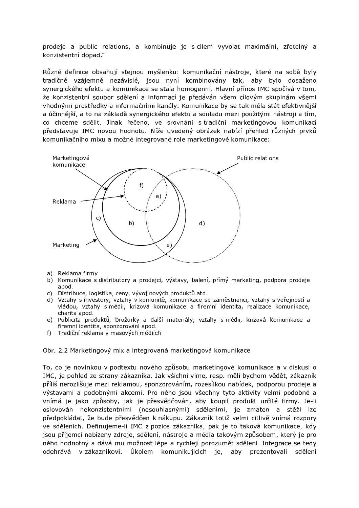prodeje a public relations, a kombinuje je s cílem vyvolat maximální, zřetelný a konzistentní dopad."

Různé definice obsahují stejnou myšlenku: komunikační nástroje, které na sobě byly tradičně vzájemně nezávislé, jsou nyní kombinovány tak, aby bylo dosaženo synergického efektu a komunikace se stala homogenní. Hlavní přínos IMC spočívá v tom, že konzistentní soubor sdělení a informací je předáván všem cílovým skupinám všemi vhodnými prostředky a informačními kanály. Komunikace by se tak měla stát efektivnější a účinnější, a to na základě synergického efektu a souladu mezi použitými nástroji a tím, co chceme sdělit. Jinak řečeno, ve srovnání s tradiční marketingovou komunikací představuje IMC novou hodnotu. Níže uvedený obrázek nabízí přehled různých prvků komunikačního mixu a možné integrované role marketingové komunikace:



- a) Reklama firmy
- b) Komunikace s distributory a prodejci, výstavy, balení, přímý marketing, podpora prodeje apod.
- c) Distribuce, logistika, ceny, vývoj nových produktů atd.
- d) Vztahy s investory, vztahy v komunitě, komunikace se zaměstnanci, vztahy s veřejností a vládou, vztahy s médii, krizová komunikace a firemní identita, realizace komunikace, charita apod.
- e) Publicita produktů, brožurky a další materiály, vztahy s médii, krizová komunikace a firemní identita, sponzorování apod.
- f) Tradiční reklama v masových médiích

Obr. 2.2 Marketingový mix a integrovaná marketingová komunikace

To, co je novinkou v podtextu nového způsobu marketingové komunikace a v diskusi o IMC, je pohled ze strany zákazníka. Jak všichni víme, resp. měli bychom vědět, zákazník příliš nerozlišuje mezi reklamou, sponzorováním, rozesílkou nabídek, podporou prodeje a výstavami a podobnými akcemi. Pro něho jsou všechny tyto aktivity velmi podobné a vnímá je jako způsoby, jak je přesvědčován, aby koupil produkt určité firmy. Je-li oslovován nekonzistentními (nesouhlasnými) sděleními, je zmaten a stěží lze předpokládat, že bude přesvědčen k nákupu. Zákazník totiž velmi citlivě vnímá rozpory ve sděleních. Definujeme-li IMC z pozice zákazníka, pak je to taková komunikace, kdy jsou příjemci nabízeny zdroje, sdělení, nástroje a média takovým způsobem, který je pro něho hodnotný a dává mu možnost lépe a rychleji porozumět sdělení. Integrace se tedy odehrává v zákazníkovi. Úkolem komunikujících je, aby prezentovali sdělení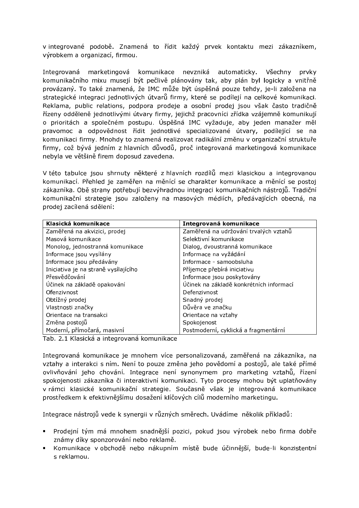v integrované podobě. Znamená to řídit každý prvek kontaktu mezi zákazníkem, výrobkem a organizací, firmou.

Integrovaná marketingová komunikace nevzniká automaticky. Všechny prvky komunikačního mixu musejí být pečlivě plánovány tak, aby plán byl logicky a vnitřně provázaný. To také znamená, že IMC může být úspěšná pouze tehdy, je-li založena na strategické integraci jednotlivých útvarů firmy, které se podílejí na celkové komunikaci. Reklama, public relations, podpora prodeje a osobní prodej jsou však často tradičně řízeny odděleně jednotlivými útvary firmy, jejichž pracovníci zřídka vzájemně komunikují o prioritách a společném postupu. Úspěšná IMC vyžaduje, aby jeden manažer měl pravomoc a odpovědnost řídit jednotlivé specializované útvary, podílející se na komunikaci firmy. Mnohdy to znamená realizovat radikální změnu v organizační struktuře firmy, což bývá jedním z hlavních důvodů, proč integrovaná marketingová komunikace nebyla ve většině firem doposud zavedena.

V této tabulce jsou shrnuty některé z hlavních rozdílů mezi klasickou a integrovanou komunikací. Přehled je zaměřen na měnící se charakter komunikace a měnící se postoj zákazníka. Obě strany potřebují bezvýhradnou integraci komunikačních nástrojů. Tradiční komunikační strategie jsou založeny na masových médiích, předávajících obecná, na prodej zacílená sdělení:

| Klasická komunikace                  | Integrovaná komunikace                  |
|--------------------------------------|-----------------------------------------|
| Zaměřená na akvizici, prodej         | Zaměřená na udržování trvalých vztahů   |
| Masová komunikace                    | Selektivní komunikace                   |
| Monolog, jednostranná komunikace     | Dialog, dvoustranná komunikace          |
| Informace jsou vysílány              | Informace na vyžádání                   |
| Informace jsou předávány             | Informace - samoobsluha                 |
| Iniciativa je na straně vysílajícího | Příjemce přebírá iniciativu             |
| Přesvědčování                        | Informace jsou poskytovány              |
| Účinek na základě opakování          | Účinek na základě konkrétních informací |
| Ofenzivnost                          | Defenzivnost                            |
| Obtížný prodej                       | Snadný prodej                           |
| Vlastnosti značky                    | Důvěra ve značku                        |
| Orientace na transakci               | Orientace na vztahy                     |
| Změna postojů                        | Spokojenost                             |
| Moderní, přímočará, masivní          | Postmoderní, cyklická a fragmentární    |

Tab. 2.1 Klasická a integrovaná komunikace

Integrovaná komunikace je mnohem více personalizovaná, zaměřená na zákazníka, na vztahy a interakci s ním. Není to pouze změna jeho povědomí a postojů, ale také přímé ovlivňování jeho chování. Integrace není synonymem pro marketing vztahů, řízení spokojenosti zákazníka či interaktivní komunikaci. Tyto procesy mohou být uplatňovány v rámci klasické komunikační strategie. Současně však je integrovaná komunikace prostředkem k efektivnějšímu dosažení klíčových cílů moderního marketingu.

Integrace nástrojů vede k synergii v různých směrech. Uvádíme několik příkladů:

- Prodejní tým má mnohem snadnější pozici, pokud jsou výrobek nebo firma dobře známy díky sponzorování nebo reklamě.
- Komunikace v obchodě nebo nákupním místě bude účinnější, bude-li konzistentní s reklamou.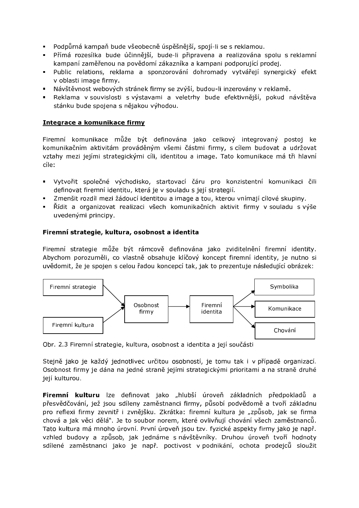- · Podpůrná kampaň bude všeobecně úspěšnější, spojí-li se s reklamou.
- · Přímá rozesílka bude účinnější, bude-li připravena a realizována spolu s reklamní kampaní zaměřenou na povědomí zákazníka a kampani podporující prodej.
- · Public relations, reklama a sponzorování dohromady vytvářejí synergický efekt v oblasti image firmy.
- Návštěvnost webových stránek firmy se zvýší, budou-li inzerovány v reklamě.
- Reklama v souvislosti s výstavami a veletrhy bude efektivnější, pokud návštěva stánku bude spojena s nějakou výhodou.

## Integrace a komunikace firmy

Firemní komunikace může být definována jako celkový integrovaný postoj ke komunikačním aktivitám prováděným všemi částmi firmy, s cílem budovat a udržovat vztahy mezi jejími strategickými cíli, identitou a image. Tato komunikace má tři hlavní cíle:

- · Vytvořit společné východisko, startovací čáru pro konzistentní komunikaci čili definovat firemní identitu, která je v souladu s její strategií.
- · Zmenšit rozdíl mezi žádoucí identitou a image a tou, kterou vnímají cílové skupiny.
- Řídit a organizovat realizaci všech komunikačních aktivit firmy v souladu s výše uvedenými principy.

## Firemní strategie, kultura, osobnost a identita

Firemní strategie může být rámcově definována jako zviditelnění firemní identity. Abychom porozuměli, co vlastně obsahuje klíčový koncept firemní identity, je nutno si uvědomit, že je spojen s celou řadou koncepcí tak, jak to prezentuje následující obrázek:



Obr. 2.3 Firemní strategie, kultura, osobnost a identita a její součásti

Stejně jako je každý jednotlivec určitou osobností, je tomu tak i v případě organizací. Osobnost firmy je dána na jedné straně jejími strategickými prioritami a na straně druhé její kulturou.

Firemní kulturu lze definovat jako "hlubší úroveň základních předpokladů a přesvědčování, jež jsou sdíleny zaměstnanci firmy, působí podvědomě a tvoří základnu pro reflexi firmy zevnitř i zvnějšku. Zkrátka: firemní kultura je "způsob, jak se firma chová a jak věci dělá". Je to soubor norem, které ovlivňují chování všech zaměstnanců. Tato kultura má mnoho úrovní. První úroveň jsou tzv. fyzické aspekty firmy jako je např. vzhled budovy a způsob, jak jednáme s návštěvníky. Druhou úroveň tvoří hodnoty sdílené zaměstnanci jako je např. poctivost v podnikání, ochota prodejců sloužit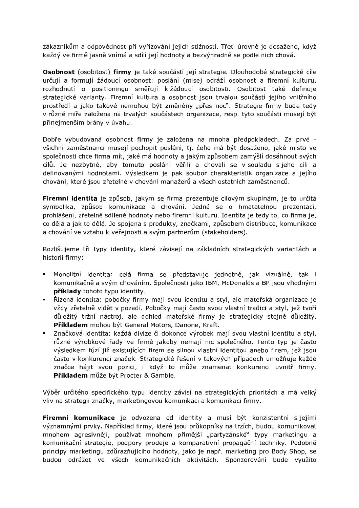zákazníkům a odpovědnost při vyřizování jejich stížností. Třetí úrovně je dosaženo, když každý ve firmě jasně vnímá a sdílí její hodnoty a bezvýhradně se podle nich chová.

Osobnost (osobitost) firmy je také součástí její strategie. Dlouhodobé strategické cíle určují a formují žádoucí osobnost: poslání (mise) odráží osobnost a firemní kulturu, rozhodnutí o positioningu směřují k žádoucí osobitosti. Osobitost také definuje strategické varianty. Firemní kultura a osobnost jsou trvalou součástí jejího vnitřního prostředí a jako takové nemohou být změněny "přes noc". Strategie firmy bude tedy v různé míře založena na trvalých součástech organizace, resp. tyto součásti musejí být přinejmenším brány v úvahu.

Dobře vybudovaná osobnost firmy je založena na mnoha předpokladech. Za prvé všichni zaměstnanci musejí pochopit poslání, tj. čeho má být dosaženo, jaké místo ve společnosti chce firma mít, jaké má hodnoty a jakým způsobem zamýšlí dosáhnout svých cílů. Je nezbytné, aby tomuto poslání věřili a chovali se v souladu s jeho cíli a definovanými hodnotami. Výsledkem je pak soubor charakteristik organizace a jejího chování, které jsou zřetelné v chování manažerů a všech ostatních zaměstnanců.

Firemní identita je způsob, jakým se firma prezentuje cílovým skupinám, je to určitá symbolika, způsob komunikace a chování. Jedná se o hmatatelnou prezentaci, prohlášení, zřetelně sdílené hodnoty nebo firemní kulturu. Identita je tedy to, co firma je, co dělá a jak to dělá. Je spojena s produkty, značkami, způsobem distribuce, komunikace a chování ve vztahu k veřejnosti a svým partnerům (stakeholders).

Rozlišujeme tři typy identity, které závisejí na základních strategických variantách a historii firmy:

- Monolitní identita: celá firma se představuje jednotně, jak vizuálně, tak i komunikačně a svým chováním. Společnosti jako IBM, McDonalds a BP jsou vhodnými příklady tohoto typu identity.
- Řízená identita: pobočky firmy mají svou identitu a styl, ale mateřská organizace je vždy zřetelně vidět v pozadí. Pobočky mají často svou vlastní tradici a styl, jež tvoří důležitý tržní nástroj, ale dohled mateřské firmy je strategicky stejně důležitý. Příkladem mohou být General Motors, Danone, Kraft.
- · Značková identita: každá divize či dokonce výrobek mají svou vlastní identitu a styl, různé výrobkové řady ve firmě jakoby nemají nic společného. Tento typ je často výsledkem fúzí již existujících firem se silnou vlastní identitou anebo firem, jež jsou často v konkurenci značek. Strategické řešení v takových případech umožňuje každé značce hájit svou pozici, i když to může znamenat konkurenci uvnitř firmy. Příkladem může být Procter & Gamble.

Výběr určitého specifického typu identity závisí na strategických prioritách a má velký vliv na strategii značky, marketingovou komunikaci a komunikaci firmy.

Firemní komunikace je odvozena od identity a musí být konzistentní s jejími významnými prvky. Například firmy, které jsou průkopníky na trzích, budou komunikovat mnohem agresivněji, používat mnohem přímější "partyzánské" typy marketingu a komunikační strategie, podpory prodeje a komparativní propagační techniky. Podobně principy marketingu zdůrazňujícího hodnoty, jako je např. marketing pro Body Shop, se budou odrážet ve všech komunikačních aktivitách. Sponzorování bude využito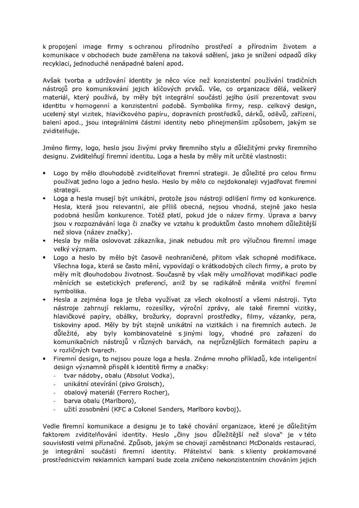k propojení image firmy s ochranou přírodního prostředí a přírodním životem a komunikace v obchodech bude zaměřena na taková sdělení, jako je snížení odpadů díky recyklaci, jednoduché nenápadné balení apod.

Avšak tvorba a udržování identity je něco více než konzistentní používání tradičních nástrojů pro komunikování jejich klíčových prvků. Vše, co organizace dělá, veškerý materiál, který používá, by měly být integrální součástí jejího úsilí prezentovat svou identitu v homogenní a konzistentní podobě. Symbolika firmy, resp. celkový design, ucelený styl vizitek, hlavičkového papíru, dopravních prostředků, dárků, oděvů, zařízení, balení apod., jsou integrálními částmi identity nebo přinejmenším způsobem, jakým se zviditelňuie.

Jméno firmy, logo, heslo jsou živými prvky firemního stylu a důležitými prvky firemního designu. Zviditelňují firemní identitu. Loga a hesla by měly mít určité vlastnosti:

- Logo by mělo dlouhodobě zviditelňovat firemní strategii. Je důležité pro celou firmu používat jedno logo a jedno heslo. Heslo by mělo co nejdokonaleji vyjadřovat firemní strategii.
- · Loga a hesla musejí být unikátní, protože jsou nástroji odlišení firmy od konkurence. Hesla, která jsou relevantní, ale příliš obecná, nejsou vhodná, stejně jako hesla podobná heslům konkurence. Totéž platí, pokud jde o název firmy. Úprava a barvy jsou v rozpoznávání loga či značky ve vztahu k produktům často mnohem důležitější než slova (název značky).
- · Hesla by měla oslovovat zákazníka, jinak nebudou mít pro výlučnou firemní image velký význam.
- · Logo a heslo by mělo být časově neohraničené, přitom však schopné modifikace. Všechna loga, která se často mění, vypovídají o krátkodobých cílech firmy, a proto by měly mít dlouhodobou životnost. Současně by však měly umožňovat modifikaci podle měnících se estetických preferencí, aniž by se radikálně měnila vnitřní firemní symbolika.
- Hesla a zejména loga je třeba využívat za všech okolností a všemi nástroji. Tyto nástroje zahrnují reklamu, rozesílky, výroční zprávy, ale také firemní vizitky, hlavičkové papíry, obálky, brožurky, dopravní prostředky, filmy, vázanky, pera, tiskoviny apod. Měly by být stejně unikátní na vizitkách i na firemních autech. Je důležité, aby byly kombinovatelné s jinými logy, vhodné pro zařazení do komunikačních nástrojů v různých barvách, na nejrůznějších formátech papíru a v rozličných tvarech.
- · Firemní design, to nejsou pouze loga a hesla. Známe mnoho příkladů, kde inteligentní design významně přispěl k identitě firmy a značky:
	- tvar nádoby, obalu (Absolut Vodka),  $\omega_{\rm{max}}$
	- unikátní otevírání (pivo Grolsch),
	- obalový materiál (Ferrero Rocher),
	- barva obalu (Marlboro),
	- užití zosobnění (KFC a Colonel Sanders, Marlboro kovboj).

Vedle firemní komunikace a designu je to také chování organizace, které je důležitým faktorem zviditelňování identity. Heslo "činy jsou důležitější než slova" je v této souvislosti velmi příznačné. Způsob, jakým se chovají zaměstnanci McDonalds restaurací, je integrální součástí firemní identity. Přátelství bank s klienty proklamované prostřednictvím reklamních kampaní bude zcela zničeno nekonzistentním chováním jejich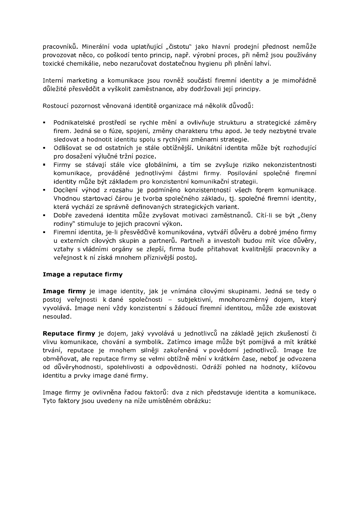pracovníků. Minerální voda uplatňující "čistotu" jako hlavní prodejní přednost nemůže provozovat něco, co poškodí tento princip, např. výrobní proces, při němž jsou používány toxické chemikálie, nebo nezaručovat dostatečnou hygienu při plnění lahyí.

Interní marketing a komunikace jsou rovněž součástí firemní identity a je mimořádně důležité přesvědčit a vyškolit zaměstnance, aby dodržovali její principy.

Rostoucí pozornost věnovaná identitě organizace má několik důvodů:

- Podnikatelské prostředí se rychle mění a ovlivňuje strukturu a strategické záměry  $\blacksquare$ firem. Jedná se o fúze, spojení, změny charakteru trhu apod. Je tedy nezbytné trvale sledovat a hodnotit identitu spolu s rychlými změnami strategie.
- · Odlišovat se od ostatních je stále obtížnější. Unikátní identita může být rozhodující pro dosažení výlučné tržní pozice.
- · Firmy se stávají stále více globálními, a tím se zvyšuje riziko nekonzistentnosti komunikace, prováděné jednotlivými částmi firmy. Posilování společné firemní identity může být základem pro konzistentní komunikační strategii.
- Docílení výhod z rozsahu je podmíněno konzistentností všech forem komunikace. Vhodnou startovací čárou je tvorba společného základu, tj. společné firemní identity, která vychází ze správně definovaných strategických variant.
- · Dobře zavedená identita může zvyšovat motivaci zaměstnanců. Cítí-li se být "členy rodiny" stimuluje to jejich pracovní výkon.
- · Firemní identita, je-li přesvědčivě komunikována, vytváří důvěru a dobré jméno firmy u externích cílových skupin a partnerů. Partneři a investoři budou mít více důvěry, vztahy s vládními orgány se zlepší, firma bude přitahovat kvalitnější pracovníky a veřejnost k ní získá mnohem příznivější postoj.

## Image a reputace firmy

Image firmy je image identity, jak je vnímána cílovými skupinami. Jedná se tedy o postoj veřejnosti k dané společnosti - subjektivní, mnohorozměrný dojem, který vyvolává. Image není vždy konzistentní s žádoucí firemní identitou, může zde existovat nesoulad.

Reputace firmy je dojem, jaký vyvolává u jednotlivců na základě jejich zkušeností či vlivu komunikace, chování a symbolik. Zatímco image může být pomíjivá a mít krátké trvání, reputace je mnohem silněji zakořeněná v povědomí jednotlivců. Image lze obměňovat, ale reputace firmy se velmi obtížně mění v krátkém čase, neboť je odvozena od důvěryhodnosti, spolehlivosti a odpovědnosti. Odráží pohled na hodnoty, klíčovou identitu a prvky image dané firmy.

Image firmy je ovlivněna řadou faktorů: dva z nich představuje identita a komunikace. Tyto faktory jsou uvedeny na níže umístěném obrázku: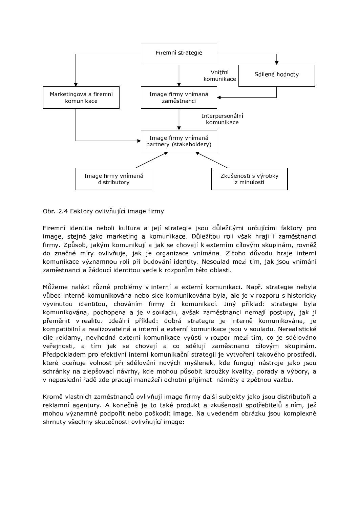

Obr. 2.4 Faktory ovlivňující image firmy

Firemní identita neboli kultura a její strategie jsou důležitými určujícími faktory pro image, stejně jako marketing a komunikace. Důležitou roli však hrají i zaměstnanci firmy. Způsob, jakým komunikují a jak se chovají k externím cílovým skupinám, rovněž do značné míry ovlivňuje, jak je organizace vnímána. Z toho důvodu hraje interní komunikace významnou roli při budování identity. Nesoulad mezi tím, jak jsou vnímáni zaměstnanci a žádoucí identitou vede k rozporům této oblasti.

Můžeme nalézt různé problémy v interní a externí komunikaci. Např. strategie nebyla vůbec interně komunikována nebo sice komunikována byla, ale je v rozporu s historicky vyvinutou identitou, chováním firmy či komunikací. Jiný příklad: strategie byla komunikována, pochopena a je v souladu, avšak zaměstnanci nemají postupy, jak ji přeměnit v realitu. Ideální příklad: dobrá strategie je interně komunikována, je kompatibilní a realizovatelná a interní a externí komunikace jsou v souladu. Nerealistické cíle reklamy, nevhodná externí komunikace vyústí v rozpor mezí tím, co je sdělováno veřejnosti, a tím jak se chovají a co sdělují zaměstnanci cílovým skupinám. Předpokladem pro efektivní interní komunikační strategii je vytvoření takového prostředí, které oceňuje volnost při sdělování nových myšlenek, kde fungují nástroje jako jsou schránky na zlepšovací návrhy, kde mohou působit kroužky kvality, porady a výbory, a v neposlední řadě zde pracují manažeři ochotni přijímat náměty a zpětnou vazbu.

Kromě vlastních zaměstnanců ovlivňují image firmy další subjekty jako jsou distributoři a reklamní agentury. A konečně je to také produkt a zkušenosti spotřebitelů s ním, jež mohou významně podpořit nebo poškodit image. Na uvedeném obrázku jsou komplexně shrnuty všechny skutečnosti ovlivňující image: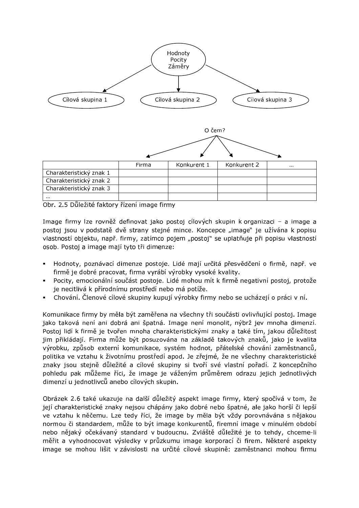

Obr. 2.5 Důležité faktory řízení image firmy

Image firmy lze rovněž definovat jako postoj cílových skupin k organizaci - a image a postoj jsou v podstatě dvě strany stejné mince. Koncepce "image" je užívána k popisu vlastností objektu, např. firmy, zatímco pojem "postoj" se uplatňuje při popisu vlastností osob. Postoj a image mají tyto tři dimenze:

- Hodnoty, poznávací dimenze postoje. Lidé mají určitá přesvědčení o firmě, např. ve firmě je dobré pracovat, firma vyrábí výrobky vysoké kvality.
- Pocity, emocionální součást postoje. Lidé mohou mít k firmě negativní postoj, protože je necitlivá k přírodnímu prostředí nebo má potíže.
- Chování. Členové cílové skupiny kupují výrobky firmy nebo se ucházejí o práci v ní.

Komunikace firmy by měla být zaměřena na všechny tři součásti ovlivňující postoj. Image jako taková není ani dobrá ani špatná. Image není monolit, nýbrž jev mnoha dimenzí. Postoj lidí k firmě je tvořen mnoha charakteristickými znaky a také tím, jakou důležitost jim přikládají. Firma může být posuzována na základě takových znaků, jako je kvalita výrobku, způsob externí komunikace, systém hodnot, přátelské chování zaměstnanců, politika ve vztahu k životnímu prostředí apod. Je zřejmé, že ne všechny charakteristické znaky jsou stejně důležité a cílové skupiny si tvoří své vlastní pořadí. Z koncepčního pohledu pak můžeme říci, že image je váženým průměrem odrazu jejich jednotlivých dimenzí u jednotlivců anebo cílových skupin.

Obrázek 2.6 také ukazuje na další důležitý aspekt image firmy, který spočívá v tom, že její charakteristické znaky nejsou chápány jako dobré nebo špatné, ale jako horší či lepší ve vztahu k něčemu. Lze tedy říci, že image by měla být vždy porovnávána s nějakou normou či standardem, může to být image konkurentů, firemní image v minulém období nebo nějaký očekávaný standard v budoucnu. Zvláště důležité je to tehdy, chceme-li měřit a vyhodnocovat výsledky v průzkumu image korporací či firem. Některé aspekty image se mohou lišit v závislosti na určité cílové skupině: zaměstnanci mohou firmu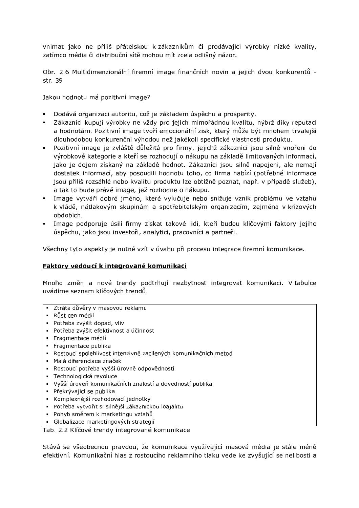vnímat jako ne příliš přátelskou k zákazníkům či prodávající výrobky nízké kvality, zatímco média či distribuční sítě mohou mít zcela odlišný názor.

Obr. 2.6 Multidimenzionální firemní image finančních novin a jejich dvou konkurentů str. 39

Jakou hodnotu má pozitivní image?

- · Dodává organizaci autoritu, což je základem úspěchu a prosperity.
- · Zákazníci kupují výrobky ne vždy pro jejich mimořádnou kvalitu, nýbrž díky reputaci a hodnotám. Pozitivní image tvoří emocionální zisk, který může být mnohem trvalejší dlouhodobou konkurenční výhodou než jakékoli specifické vlastnosti produktu.
- Pozitivní image je zvláště důležitá pro firmy, jejichž zákazníci jsou silně vnořeni do výrobkové kategorie a kteří se rozhodují o nákupu na základě limitovaných informací, jako je dojem získaný na základě hodnot. Zákazníci jsou silně napojeni, ale nemají dostatek informací, aby posoudili hodnotu toho, co firma nabízí (potřebné informace jsou příliš rozsáhlé nebo kvalitu produktu lze obtížně poznat, např. v případě služeb), a tak to bude právě image, jež rozhodne o nákupu.
- · Image vytváří dobré jméno, které vylučuje nebo snižuje vznik problému ve vztahu k vládě, nátlakovým skupinám a spotřebitelským organizacím, zejména v krizových obdobích.
- · Image podporuje úsilí firmy získat takové lidi, kteří budou klíčovými faktory jejího úspěchu, jako jsou investoři, analytici, pracovníci a partneři.

Všechny tyto aspekty je nutné vzít v úvahu při procesu integrace firemní komunikace.

#### Faktory vedoucí k integrované komunikaci

Mnoho změn a nové trendy podtrhují nezbytnost integrovat komunikaci. V tabulce uvádíme seznam klíčových trendů.

- · Ztráta důvěry v masovou reklamu
- · Růst cen médií
- · Potřeba zvýšit dopad, vliv
- · Potřeba zvýšit efektivnost a účinnost
- · Fragmentace médií
- · Fragmentace publika
- · Rostoucí spolehlivost intenzivně zacílených komunikačních metod
- · Malá diferenciace značek
- Rostoucí potřeba vyšší úrovně odpovědnosti
- Technologická revoluce
- · Vyšší úroveň komunikačních znalostí a dovedností publika
- · Překrývající se publika
- Komplexnější rozhodovací jednotky
- · Potřeba vytvořit si silnější zákaznickou loajalitu
- Pohyb směrem k marketingu vztahů
- · Globalizace marketingových strategií

#### Tab. 2.2 Klíčové trendy integrované komunikace

Stává se všeobecnou pravdou, že komunikace využívající masová média je stále méně efektivní. Komunikační hlas z rostoucího reklamního tlaku vede ke zvyšující se nelibosti a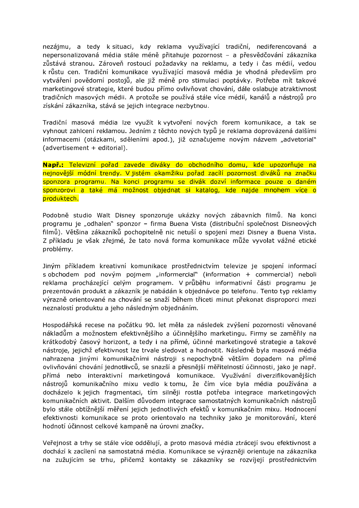nezájmu, a tedy k situaci, kdy reklama využívající tradiční, nediferencovaná a nepersonalizovaná média stále méně přitahuje pozornost - a přesvědčování zákazníka zůstává stranou. Zároveň rostoucí požadavky na reklamu, a tedy i čas médií, vedou k růstu cen. Tradiční komunikace využívající masová média je vhodná především pro vytváření povědomí postojů, ale již méně pro stimulaci poptávky. Potřeba mít takové marketingové strategie, které budou přímo ovlivňovat chování, dále oslabuje atraktivnost tradičních masových médii. A protože se používá stále více médií, kanálů a nástrojů pro získání zákazníka, stává se jejich integrace nezbytnou.

Tradiční masová média lze využít k vytvoření nových forem komunikace, a tak se vyhnout zahlcení reklamou. Jedním z těchto nových typů je reklama doprovázená dalšími informacemi (otázkami, sděleními apod.), již označujeme novým názvem "advetorial" (advertisement + editorial).

Např.: Televizní pořad zavede diváky do obchodního domu, kde upozorňuje na nejnovější módní trendy. V jistém okamžiku pořad zacílí pozornost diváků na značku sponzora programu. Na konci programu se divák dozví informace pouze o daném sponzorovi a také má možnost objednat si katalog, kde najde mnohem více o produktech.

Podobně studio Walt Disney sponzoruje ukázky nových zábavních filmů. Na konci programu je "odhalen" sponzor - firma Buena Vista (distribuční společnost Disneových filmů). Většina zákazníků pochopitelně nic netuší o spojení mezi Disney a Buena Vista. Z příkladu je však zřejmé, že tato nová forma komunikace může vyvolat vážné etické problémy.

Jiným příkladem kreativní komunikace prostřednictvím televize je spojení informací s obchodem pod novým pojmem "informercial" (information + commercial) neboli reklama procházející celým programem. V průběhu informativní části programu je prezentován produkt a zákazník je nabádán k objednávce po telefonu. Tento typ reklamy výrazně orientované na chování se snaží během třiceti minut překonat disproporci mezi neznalostí produktu a jeho následným objednáním.

Hospodářská recese na počátku 90. let měla za následek zvýšení pozornosti věnované nákladům a možnostem efektivnějšího a účinnějšího marketingu. Firmy se zaměřily na krátkodobý časový horizont, a tedy i na přímé, účinné marketingové strategie a takové nástroje, jejichž efektivnost lze trvale sledovat a hodnotit. Následně byla masová média nahrazena jinými komunikačními nástroji s nepochybně větším dopadem na přímé ovlivňování chování jednotlivců, se snazší a přesnější měřitelností účinnosti, jako je např. přímá nebo interaktivní marketingová komunikace. Využívání diverzifikovanějších nástrojů komunikačního mixu vedlo k tomu, že čím více byla média používána a docházelo k jejich fragmentaci, tím silněji rostla potřeba integrace marketingových komunikačních aktivit. Dalším důvodem integrace samostatných komunikačních nástrojů bylo stále obtížnější měření jejich jednotlivých efektů v komunikačním mixu. Hodnocení efektivnosti komunikace se proto orientovalo na techniky jako je monitorování, které hodnotí účinnost celkové kampaně na úrovni značky.

Veřejnost a trhy se stále více oddělují, a proto masová média ztrácejí svou efektivnost a dochází k zacílení na samostatná média. Komunikace se výrazněji orientuje na zákazníka na zužujícím se trhu, přičemž kontakty se zákazníky se rozvíjejí prostřednictvím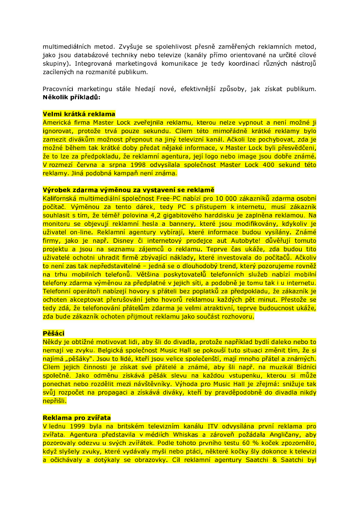multimediálních metod. Zvyšuje se spolehlivost přesně zaměřených reklamních metod, jako jsou databázové techniky nebo televize (kanály přímo orientované na určité cílové skupiny). Integrovaná marketingová komunikace je tedy koordinací různých nástrojů zacílených na rozmanité publikum.

Pracovníci marketingu stále hledají nové, efektivnější způsoby, jak získat publikum. Několik příkladů:

#### Velmi krátká reklama

Americká firma Master Lock zveřejnila reklamu, kterou nelze vypnout a není možné ji ignorovat, protože trvá pouze sekundu. Cílem této mimořádně krátké reklamy bylo zamezit divákům možnost přepnout na jiný televizní kanál. Ačkoli lze pochybovat, zda je možné během tak krátké doby předat nějaké informace, v Master Lock byli přesvědčeni, že to lze za předpokladu, že reklamní agentura, její logo nebo image jsou dobře známé. V rozmezí června a srpna 1998 odvysílala společnost Master Lock 400 sekund této reklamy. Jiná podobná kampaň není známa.

#### Výrobek zdarma výměnou za vystavení se reklamě

Kalifornská multimediální společnost Free-PC nabízí pro 10 000 zákazníků zdarma osobní počítač. Výměnou za tento dárek, tedy PC s přístupem k internetu, musí zákazník souhlasit s tím, že téměř polovina 4,2 gigabitového harddisku je zaplněna reklamou. Na monitoru se objevují reklamní hesla a bannery, které jsou modifikovány, kdykoliv je uživatel on-line. Reklamní agentury vybírají, které informace budou vysílány. Známé firmy, jako je např. Disney či internetový prodejce aut Autobyte! důvěřují tomuto projektu a jsou na seznamu zájemců o reklamu. Teprve čas ukáže, zda budou tito uživatelé ochotni uhradit firmě zbývající náklady, které investovala do počítačů. Ačkoliv to není zas tak nepředstavitelné – jedná se o dlouhodobý trend, který pozorujeme rovněž na trhu mobilních telefonů. Většina poskytovatelů telefonních služeb nabízí mobilní telefony zdarma výměnou za předplatné v jejich síti, a podobně je tomu tak i u internetu. Telefonní operátoři nabízejí hovory s přáteli bez poplatků za předpokladu, že zákazník je ochoten akceptovat přerušování jeho hovorů reklamou každých pět minut. Přestože se tedy zdá, že telefonování přátelům zdarma je velmi atraktivní, teprve budoucnost ukáže. zda bude zákazník ochoten přijmout reklamu jako součást rozhovoru.

#### Pěšáci

Někdy je obtížné motivovat lidi, aby šli do divadla, protože například bydlí daleko nebo to nemají ve zvyku. Belgická společnost Music Hall se pokouší tuto situaci změnit tím, že si najímá "pěšáky". Jsou to lidé, kteří jsou velice společenští, mají mnoho přátel a známých. Cílem jejich činnosti je získat své přátelé a známé, aby šli např. na muzikál Bídníci společně. Jako odměnu získává pěšák slevu na každou vstupenku, kterou si může ponechat nebo rozdělit mezi návštěvníky. Výhoda pro Music Hall je zřejmá: snižuje tak svůj rozpočet na propagaci a získává diváky, kteří by pravděpodobně do divadla nikdy nepřišli.

#### Reklama pro zvířata

V lednu 1999 byla na britském televizním kanálu ITV odvysílána první reklama pro zvířata. Agentura představila v médiích Whiskas a zároveň požádala Angličany, aby pozorovaly odezvu u svých zvířátek. Podle tohoto prvního testu 60 % koček zpozornělo, když slyšely zvuky, které vydávaly myši nebo ptáci, některé kočky šly dokonce k televizi a očichávaly a dotýkaly se obrazovky. Cíl reklamní agentury Saatchi & Saatchi byl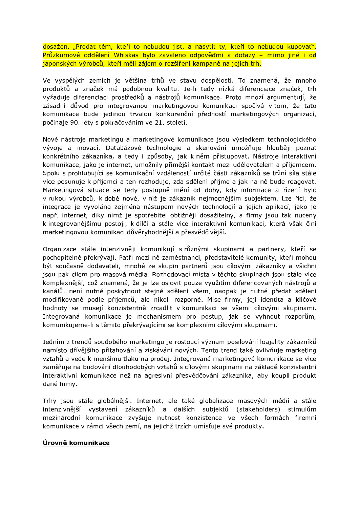dosažen. "Prodat těm, kteří to nebudou jíst, a nasytit ty, kteří to nebudou kupovat". Průzkumové oddělení Whiskas bylo zavaleno odpověďmi a dotazy - mimo jiné i od japonských výrobců, kteří měli zájem o rozšíření kampaně na jejich trh.

Ve vyspělých zemích je většina trhů ve stavu dospělosti. To znamená, že mnoho produktů a značek má podobnou kvalitu. Je-li tedy nízká diferenciace značek, trh vyžaduje diferenciaci prostředků a nástrojů komunikace. Proto mnozí argumentují, že zásadní důvod pro integrovanou marketingovou komunikaci spočívá v tom, že tato komunikace bude jedinou trvalou konkurenční předností marketingových organizací, počínaje 90. léty s pokračováním ve 21. století.

Nové nástroje marketingu a marketingové komunikace jsou výsledkem technologického vývoje a inovací. Databázové technologie a skenování umožňuje hlouběji poznat konkrétního zákazníka, a tedy i způsoby, jak k něm přistupovat. Nástroje interaktivní komunikace, jako je internet, umožnily přímější kontakt mezi udělovatelem a příjemcem. Spolu s prohlubující se komunikační vzdáleností určité části zákazníků se tržní síla stále více posunuje k příjemci a ten rozhoduje, zda sdělení přijme a jak na ně bude reagovat. Marketingová situace se tedy postupně mění od doby, kdy informace a řízení bylo v rukou výrobců, k době nové, v níž je zákazník nejmocnějším subjektem. Lze říci, že integrace je vyvolána zejména nástupem nových technologií a jejich aplikací, jako je např. internet, díky nimž je spotřebitel obtížněji dosažitelný, a firmy jsou tak nuceny k integrovanějšímu postoji, k dílčí a stále více interaktivní komunikaci, která však činí marketingovou komunikaci důvěryhodnější a přesvědčivější.

Organizace stále intenzivněji komunikují s různými skupinami a partnery, kteří se pochopitelně překrývají. Patří mezi ně zaměstnanci, představitelé komunity, kteří mohou být současně dodavateli, mnohé ze skupin partnerů jsou cílovými zákazníky a všichni jsou pak cílem pro masová média. Rozhodovací místa v těchto skupinách jsou stále více komplexnější, což znamená, že je lze oslovit pouze využitím diferencovaných nástrojů a kanálů, není nutné poskytnout stejné sdělení všem, naopak je nutné předat sdělení modifikovaně podle příjemců, ale nikoli rozporné. Mise firmy, její identita a klíčové hodnoty se musejí konzistentně zrcadlit v komunikaci se všemi cílovými skupinami. Integrovaná komunikace je mechanismem pro postup, jak se vyhnout rozporům, komunikujeme-li s těmito překrývajícími se komplexními cílovými skupinami.

Jedním z trendů soudobého marketingu je rostoucí význam posilování loajality zákazníků namísto dřívějšího přitahování a získávání nových. Tento trend také ovlivňuje marketing vztahů a vede k menšímu tlaku na prodej. Integrovaná marketingová komunikace se více zaměřuje na budování dlouhodobých vztahů s cílovými skupinami na základě konzistentní interaktivní komunikace než na agresivní přesvědčování zákazníka, aby koupil produkt dané firmy.

Trhy jsou stále globálnější. Internet, ale také globalizace masových médií a stále intenzivnější vystavení zákazníků a dalších subjektů (stakeholders) stimulům mezinárodní komunikace zvyšuje nutnost konzistence ve všech formách firemní komunikace v rámci všech zemí, na jejichž trzích umísťuje své produkty.

## Úrovně komunikace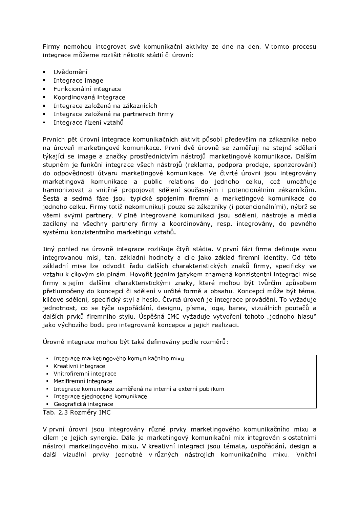Firmy nemohou integrovat své komunikační aktivity ze dne na den. V tomto procesu integrace můžeme rozlišit několik stádií či úrovní:

- Uvědomění  $\mathbf{m}$  .
- Integrace image
- Funkcionální integrace
- <sup>~</sup> \_óóüúïóñøï úïôðûüøð
- Integrace založená na zákaznících
- Integrace založená na partnerech firmy
- Integrace řízení vztahů  $\blacksquare$

Prvních pět úrovní integrace komunikačních aktivit působí především na zákazníka nebo na úroveň marketingové komunikace. První dvě úrovně se zaměřují na stejná sdělení týkající se image a značky prostřednictvím nástrojů marketingové komunikace. Dalším stupněm je funkční integrace všech nástrojů (reklama, podpora prodeje, sponzorování) do odpovědnosti útvaru marketingové komunikace. Ve čtvrté úrovni jsou integrovány marketingová komunikace a public relations do jednoho celku, což umožňuje harmonizovat a vnitřně propojovat sdělení současným i potencionálním zákazníkům. Šestá a sedmá fáze jsou typické spojením firemní a marketingové komunikace do jednoho celku. Firmy totiž nekomunikují pouze se zákazníky (i potencionálními), nýbrž se všemi svými partnery. V plně integrované komunikaci jsou sdělení, nástroje a média zacíleny na všechny partnery firmy a koordinovány, resp. integrovány, do pevného systému konzistentního marketingu vztahů.

Jiný pohled na úrovně integrace rozlišuje čtyři stádia. V první fázi firma definuje svou integrovanou misi, tzn. základní hodnoty a cíle jako základ firemní identity. Od této základní mise lze odvodit řadu dalších charakteristických znaků firmy, specificky ve vztahu k cílovým skupinám. Hovořit jedním jazykem znamená konzistentní integraci mise firmy s jejími dalšími charakteristickými znaky, které mohou být tvůrčím způsobem přetlumočeny do koncepcí či sdělení v určité formě a obsahu. Koncepcí může být téma, klíčové sdělení, specifický styl a heslo. Čtvrtá úroveň je integrace provádění. To vyžaduje jednotnost, co se týče uspořádání, designu, písma, loga, barev, vizuálních poutačů a dalších prvků firemního stylu. Úspěšná IMC vyžaduje vytvoření tohoto "jednoho hlasu" jako výchozího bodu pro integrované koncepce a jejich realizaci.

Úrovně integrace mohou být také definovány podle rozměrů:

- Integrace marketingového komunikačního mixu
- Kreativní integrace
- Vnitrofiremní integrace
- Mezifiremní integrace
- Integrace komunikace zaměřená na interní a externí publikum
- Integrace sjednocené komunikace
- Geografická integrace

Tab. 2.3 Rozměry IMC

V první úrovni jsou integrovány různé prvky marketingového komunikačního mixu a cílem je jejich synergie. Dále je marketingový komunikační mix integrován s ostatními nástroji marketingového mixu. V kreativní integraci jsou témata, uspořádání, design a další vizuální prvky jednotné v různých nástrojích komunikačního mixu. Vnitřní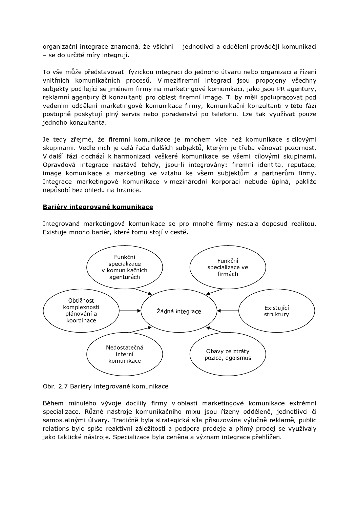organizační integrace znamená, že všichni - jednotlivci a oddělení provádějí komunikaci - se do určité míry integrují.

To vše může představovat fyzickou integraci do jednoho útvaru nebo organizaci a řízení vnitřních komunikačních procesů. V mezifiremní integraci jsou propojeny všechny subjekty podílející se jménem firmy na marketingové komunikaci, jako jsou PR agentury, reklamní agentury či konzultanti pro oblast firemní image. Ti by měli spolupracovat pod vedením oddělení marketingové komunikace firmy, komunikační konzultanti v této fázi postupně poskytují plný servis nebo poradenství po telefonu. Lze tak využívat pouze jednoho konzultanta.

Je tedy zřejmé, že firemní komunikace je mnohem více než komunikace s cílovými skupinami. Vedle nich je celá řada dalších subjektů, kterým je třeba věnovat pozornost. V další fázi dochází k harmonizaci veškeré komunikace se všemi cílovými skupinami. Opravdová integrace nastává tehdy, jsou-li integrovány: firemní identita, reputace, image komunikace a marketing ve vztahu ke všem subjektům a partnerům firmy. Integrace marketingové komunikace v mezinárodní korporaci nebude úplná, pakliže nepůsobí bez ohledu na hranice.

#### Bariéry integrované komunikace

Integrovaná marketingová komunikace se pro mnohé firmy nestala doposud realitou. Existuje mnoho bariér, které tomu stojí v cestě.



Obr. 2.7 Bariéry integrované komunikace

Během minulého vývoje docílily firmy v oblasti marketingové komunikace extrémní specializace. Různé nástroje komunikačního mixu jsou řízeny odděleně, jednotlivci či samostatnými útvary. Tradičně byla strategická síla přisuzována výlučně reklamě, public relations bylo spíše reaktivní záležitostí a podpora prodeje a přímý prodej se využívaly jako taktické nástroje. Specializace byla ceněna a význam integrace přehlížen.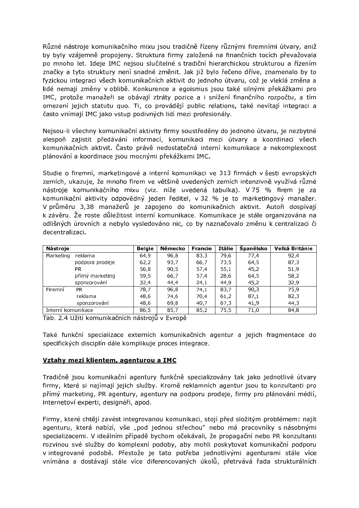Různé nástroje komunikačního mixu jsou tradičně řízeny různými firemními útvary, aniž by byly vzájemně propojeny. Struktura firmy založená na finančních tocích převažovala po mnoho let. Ideje IMC nejsou slučitelné s tradiční hierarchickou strukturou a řízením značky a tyto struktury není snadné změnit. Jak již bylo řečeno dříve, znamenalo by to fyzickou integraci všech komunikačních aktivit do jednoho útvaru, což je vleklá změna a lidé nemají změny v oblibě. Konkurence a egoismus jsou také silnými překážkami pro IMC, protože manažeři se obávají ztráty pozice a i snížení finančního rozpočtu, a tím omezení jejich statutu quo. Ti, co provádějí public relations, také nevítají integraci a často vnímají IMC jako vstup podivných lidí mezi profesionály.

Nejsou-li všechny komunikační aktivity firmy soustředěny do jednoho útvaru, je nezbytné alespoň zajistit předávání informací, komunikaci mezi útvary a koordinaci všech komunikačních aktivit. Často právě nedostatečná interní komunikace a nekomplexnost plánování a koordinace jsou mocnými překážkami IMC.

Studie o firemní, marketingové a interní komunikaci ve 313 firmách v šesti evropských zemích, ukazuje, že mnoho firem ve většině uvedených zemích intenzivně využívá různé nástroje komunikačního mixu (viz. níže uvedená tabulka). V 75 % firem je za komunikační aktivity odpovědný jeden ředitel, v 32 % je to marketingový manažer. V průměru 3,38 manažerů je zapojeno do komunikačních aktivit. Autoři dospívají k závěru. Že roste důležitost interní komunikace. Komunikace je stále organizována na odlišných úrovních a nebylo vysledováno nic, co by naznačovalo změnu k centralizaci či decentralizaci.

| Nástroje           |                 | <b>Belgie</b> | Německo | <b>Francie</b> | Itálie | Španělsko | Velká Británie |
|--------------------|-----------------|---------------|---------|----------------|--------|-----------|----------------|
| Marketing          | reklama         | 64,9          | 96,8    | 83,3           | 79,6   | 77,4      | 92,4           |
|                    | podpora prodeje | 62,2          | 93,7    | 66,7           | 73,5   | 64,5      | 87,3           |
|                    | PR.             | 56,8          | 90,5    | 57,4           | 55,1   | 45,2      | 51,9           |
|                    | přímý marketing | 59,5          | 66,7    | 57,4           | 28,6   | 64,5      | 58,2           |
|                    | sponzorování    | 32,4          | 44,4    | 24,1           | 44,9   | 45,2      | 32,9           |
| Firemní            | PR.             | 78,7          | 96,8    | 74,1           | 83,7   | 90,3      | 75.9           |
|                    | reklama         | 48,6          | 74,6    | 70,4           | 61,2   | 87,1      | 82,3           |
|                    | sponzorování    | 48,6          | 69,8    | 40,7           | 67,3   | 41,9      | 44,3           |
| Interní komunikace |                 | 86.5          | 85.7    | 85.2           | 75.5   | 71,0      | 84.8           |

Tab. 2.4 Užití komunikačních nástrojů v Evropě

Také funkční specializace externích komunikačních agentur a jejich fragmentace do specifických disciplín dále komplikuje proces integrace.

#### Vztahy mezi klientem, agenturou a IMC

Tradičně jsou komunikační agentury funkčně specializovány tak jako jednotlivé útvary firmy, které si najímají jejich služby. Kromě reklamních agentur jsou to konzultanti pro přímý marketing, PR agentury, agentury na podporu prodeje, firmy pro plánování médií, internetoví experti, designéři, apod.

Firmy, které chtějí zavést integrovanou komunikaci, stojí před složitým problémem: najít agenturu, která nabízí, vše "pod jednou střechou" nebo má pracovníky s násobnými specializacemi. V ideálním případě bychom očekávali, že propagační nebo PR konzultanti rozvinou své služby do komplexní podoby, aby mohli poskytovat komunikační podporu v integrované podobě. Přestože je tato potřeba jednotlivými agenturami stále více vnímána a dostávají stále více diferencovaných úkolů, přetrvává řada strukturálních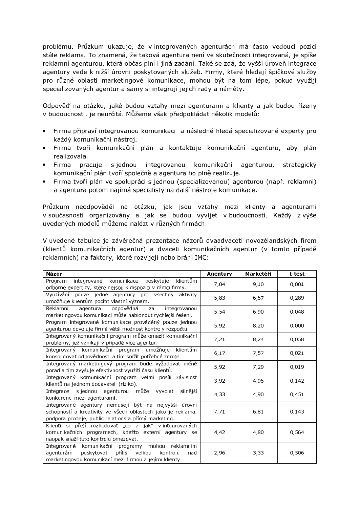problému. Průzkum ukazuje, že v integrovaných agenturách má často vedoucí pozici stále reklama. To znamená, že taková agentura není ve skutečnosti integrovaná, je spíše reklamní agenturou, která občas plní i jiná zadání. Také se zdá, že vyšší úroveň integrace agentury vede k nižší úrovni poskytovaných služeb. Firmy, které hledají špičkové služby pro různé oblasti marketingové komunikace, mohou být na tom lépe, pokud využijí specializovaných agentur a samy si integrují jejich rady a náměty.

Odpověď na otázku, jaké budou vztahy mezi agenturami a klienty a jak budou řízeny v budoucnosti, je neurčitá. Můžeme však předpokládat několik modelů:

- · Firma připraví integrovanou komunikaci a následně hledá specializované experty pro každý komunikační nástroj.
- · Firma tvoří komunikační plán a kontaktuje komunikační agenturu, aby plán realizovala.
- $\blacksquare$  Firma pracuje s jednou integrovanou komunikační agenturou, strategický komunikační plán tvoří společně a agentura ho plně realizuje.
- Firma tvoří plán ve spolupráci s jednou (specializovanou) agenturou (např. reklamní) a agentura potom najímá specialisty na další nástroje komunikace.

Průzkum neodpověděl na otázku, jak jsou vztahy mezi klienty a agenturami v současnosti organizovány a jak se budou vyvíjet v budoucnosti. Každý z výše uvedených modelů můžeme nalézt v různých firmách.

V uvedené tabulce je závěrečná prezentace názorů dvaadvaceti novozélandských firem (klientů komunikačních agentur) a dvaceti komunikačních agentur (v tomto případě reklamních) na faktory, které rozvíjejí nebo brání IMC:

| Názor                                                                                                                                                                        | Agentury | Marketéři | t-test |
|------------------------------------------------------------------------------------------------------------------------------------------------------------------------------|----------|-----------|--------|
| komunikace<br>klientům<br>integrované<br>Program<br>poskytuje<br>odborné expertizy, které nejsou k dispozici v rámci firmy.                                                  | 7,04     | 9,10      | 0,001  |
| Využívání pouze jedné agentury pro všechny aktivity<br>umožňuje klientům pocítit vlastní význam.                                                                             | 5,83     | 6,57      | 0,289  |
| Reklamní<br>odpovědná<br>agentura<br>integrovanou<br>za<br>marketingovou komunikaci může nabídnout rychlejší řešení.                                                         | 5,54     | 6,90      | 0,048  |
| Program integrované komunikace prováděný pouze jednou<br>agenturou dovoluje firmě větší možnost kontroly rozpočtu.                                                           | 5,92     | 8,20      | 0,000  |
| Integrovaný komunikační program může omezit komunikační<br>problémy, jež vznikají v případě více agentur.                                                                    | 7,21     | 8,24      | 0,058  |
| Integrovaný komunikační program umožňuje<br>klientům<br>konsolidovat odpovědnosti a tím snížit potřebné zdroje.                                                              | 6,17     | 7,57      | 0,021  |
| Integrovaný marketingový program bude vyžadovat méně<br>porad a tím zvyšuje efektivnost využití času klientů.                                                                | 5,92     | 7,29      | 0,019  |
| Integrovaný komunikační program velmi posílí závislost<br>klientů na jednom dodavateli (riziko).                                                                             | 3,92     | 4,95      | 0,142  |
| může<br>Integrace sjednou agenturou<br>silnější<br>vyvolat<br>konkurenci mezi agenturami.                                                                                    | 4,33     | 4,90      | 0,451  |
| Integrované agentury nemusejí být na nejvyšší úrovni<br>schopností a kreativity ve všech oblastech jako je reklama,<br>podpora prodeje, public relations a přímý marketing.  | 7,71     | 6,81      | 0,143  |
| Klienti si přejí rozhodovat "co a jak" v integrovaných<br>komunikačních programech, kdežto externí agentury se<br>naopak snaží tuto kontrolu omezovat.                       | 4,42     | 4,80      | 0,564  |
| Integrované komunikační programy mohou reklamním<br>poskytovat<br>příliš<br>velkou<br>agenturám<br>kontrolu<br>nad<br>marketingovou komunikací mezi firmou a jejími klienty. | 2,96     | 3,33      | 0,506  |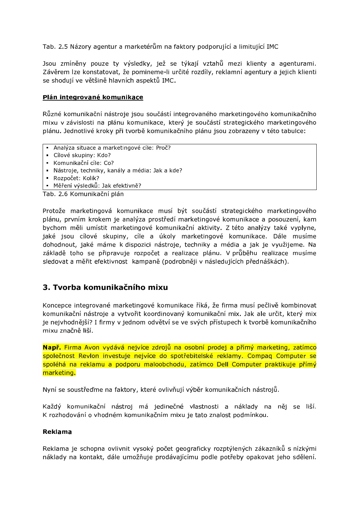Tab. 2.5 Názory agentur a marketérům na faktory podporující a limitující IMC

Jsou zmíněny pouze ty výsledky, jež se týkají vztahů mezi klienty a agenturami. Závěrem lze konstatovat, že pomineme-li určité rozdíly, reklamní agentury a jejich klienti se shodují ve většině hlavních aspektů IMC.

## Plán integrované komunikace

Různé komunikační nástroje jsou součástí integrovaného marketingového komunikačního mixu v závislosti na plánu komunikace, který je součástí strategického marketingového plánu. Jednotlivé kroky při tvorbě komunikačního plánu jsou zobrazeny v této tabulce:

- Analýza situace a marketingové cíle: Proč?

- Cílové skupiny: Kdo?
- Komunikační cíle: Co?
- Nástroje, techniky, kanály a média: Jak a kde?
- Rozpočet: Kolik?
- · Měření výsledků: Jak efektivně?

Tab. 2.6 Komunikační plán

Protože marketingová komunikace musí být součástí strategického marketingového plánu, prvním krokem je analýza prostředí marketingové komunikace a posouzení, kam bychom měli umístit marketingové komunikační aktivity. Z této analýzy také vyplyne, jaké jsou cílové skupiny, cíle a úkoly marketingové komunikace. Dále musíme dohodnout, jaké máme k dispozici nástroje, techniky a média a jak je využijeme. Na základě toho se připravuje rozpočet a realizace plánu. V průběhu realizace musíme sledovat a měřit efektivnost kampaně (podrobněji v následujících přednáškách).

# 3. Tvorba komunikačního mixu

Koncepce integrované marketingové komunikace říká, že firma musí pečlivě kombinovat komunikační nástroje a vytvořit koordinovaný komunikační mix. Jak ale určit, který mix je nejvhodnější? I firmy v jednom odvětví se ve svých přístupech k tvorbě komunikačního mixu značně liší.

Např. Firma Avon vydává nejvíce zdrojů na osobní prodej a přímý marketing, zatímco společnost Revlon investuje nejvíce do spotřebitelské reklamy. Compaq Computer se spoléhá na reklamu a podporu maloobchodu, zatímco Dell Computer praktikuje přímý marketing.

Nyní se soustřeďme na faktory, které ovlivňují výběr komunikačních nástrojů.

Každý komunikační nástroj má jedinečné vlastnosti a náklady na něj se liší. K rozhodování o vhodném komunikačním mixu je tato znalost podmínkou.

#### Reklama

Reklama je schopna ovlivnit vysoký počet geograficky rozptýlených zákazníků s nízkými náklady na kontakt, dále umožňuje prodávajícímu podle potřeby opakovat jeho sdělení.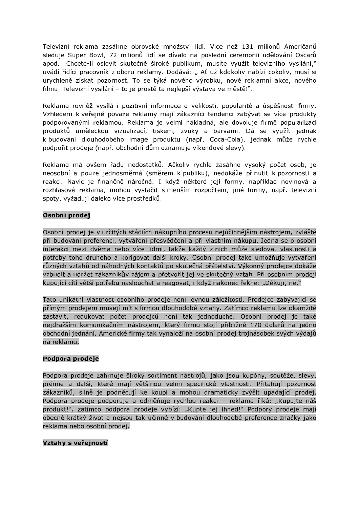Televizní reklama zasáhne obrovské množství lidí. Více než 131 milionů Američanů sleduje Super Bowl, 72 milionů lidí se dívalo na poslední ceremonii udělování Oscarů apod. "Chcete-li oslovit skutečně široké publikum, musíte využít televizního vysílání." uvádí řídící pracovník z oboru reklamy. Dodává: "Ať už kdokoliv nabízí cokoliv, musí si urychleně získat pozornost. To se týká nového výrobku, nové reklamní akce, nového filmu. Televizní vysílání - to je prostě ta nejlepší výstava ve městě!".

Reklama rovněž vysílá i pozitivní informace o velikosti, popularitě a úspěšnosti firmy. Vzhledem k veřejné povaze reklamy mají zákazníci tendenci zabývat se více produkty podporovanými reklamou. Reklama je velmi nákladná, ale dovoluje firmě popularizaci produktů uměleckou vizualizací, tiskem, zvuky a barvami. Dá se využít jednak k budování dlouhodobého image produktu (např. Coca-Cola), jednak může rychle podpořit prodeje (např. obchodní dům oznamuje víkendové slevy).

Reklama má ovšem řadu nedostatků. Ačkoliv rychle zasáhne vysoký počet osob, je neosobní a pouze jednosměrná (směrem k publiku), nedokáže přinutit k pozornosti a reakci. Navíc je finančně náročná. I když některé její formy, například novinová a rozhlasová reklama, mohou vystačit s menším rozpočtem, jiné formy, např. televizní spoty, vyžadují daleko více prostředků.

## Osobní prodej

Osobní prodej je v určitých stádiích nákupního procesu nejúčinnějším nástrojem, zvláště při budování preferencí, vytváření přesvědčení a při vlastním nákupu. Jedná se o osobní interakci mezi dvěma nebo více lidmi, takže každý z nich může sledovat vlastnosti a potřeby toho druhého a korigovat další kroky. Osobní prodej také umožňuje vytváření různých vztahů od náhodných kontaktů po skutečná přátelství. Výkonný prodejce dokáže vzbudit a udržet zákazníkův zájem a přetvořit jej ve skutečný vztah. Při osobním prodeji kupující cítí větší potřebu naslouchat a reagovat, i když nakonec řekne: "Děkuji, ne."

Tato unikátní vlastnost osobního prodeje není levnou záležitostí. Prodejce zabývající se přímým prodejem musejí mít s firmou dlouhodobé vztahy. Zatímco reklamu lze okamžitě zastavit, redukovat počet prodejců není tak jednoduché. Osobní prodej je také nejdražším komunikačním nástrojem, který firmu stojí přibližně 170 dolarů na jedno obchodní jednání. Americké firmy tak vynaloží na osobní prodej trojnásobek svých výdajů na reklamu.

#### Podpora prodeje

Podpora prodeje zahrnuje široký sortiment nástrojů, jako jsou kupóny, soutěže, slevy, prémie a další, které mají většinou velmi specifické vlastnosti. Přitahují pozornost zákazníků, silně je podněcují ke koupi a mohou dramaticky zvýšit upadající prodej. Podpora prodeje podporuje a odměňuje rychlou reakci - reklama říká: "Kupujte náš produkt!", zatímco podpora prodeje vybízí: "Kupte jej ihned!" Podpory prodeje mají obecně krátký život a nejsou tak účinné v budování dlouhodobé preference značky jako reklama nebo osobní prodej.

#### Vztahy s veřejností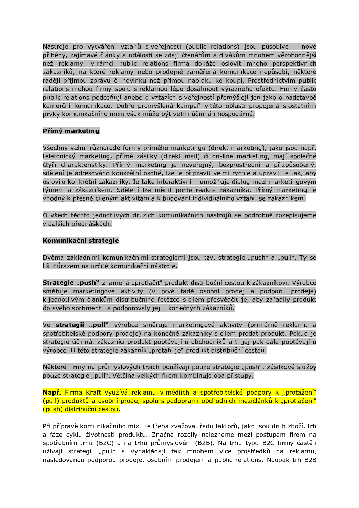Nástroje pro vytváření vztahů s veřejností (public relations) jsou působivé - nové příběhy, zajímavé články a události se zdají čtenářům a divákům mnohem věrohodnější než reklamy. V rámci public relations firma dokáže oslovit mnoho perspektivních zákazníků, na které reklamy nebo prodejně zaměřená komunikace nepůsobí, některé raději přijmou zprávu či novinku než přímou nabídku ke koupi. Prostřednictvím public relations mohou firmy spolu s reklamou lépe dosáhnout výrazného efektu. Firmy často public relations podceňují anebo o vztazích s veřejností přemýšlejí jen jako o nadstavbě komerční komunikace. Dobře promyšlená kampaň v této oblasti propojená s ostatními prvky komunikačního mixu však může být velmi účinná i hospodárná.

## Přímý marketing

Všechny velmi různorodé formy přímého marketingu (direkt marketing), jako jsou např. telefonický marketing, přímé zásilky (direkt mail) či on-line marketing, mají společné čtyři charakteristiky. Přímý marketing je neveřejný, bezprostřední a přizpůsobený, sdělení je adresováno konkrétní osobě, lze je připravit velmi rychle a upravit je tak, aby oslovilo konkrétní zákazníky. Je také interaktivní - umožňuje dialog mezi marketingovým týmem a zákazníkem. Sdělení lze měnit podle reakce zákazníka. Přímý marketing je vhodný k přesně cíleným aktivitám a k budování individuálního vztahu se zákazníkem.

O všech těchto jednotlivých druzích komunikačních nástrojů se podrobně rozepisujeme v dalších přednáškách.

#### Komunikační strategie

Dvěma základními komunikačními strategiemi jsou tzv. strategie "push" a "pull". Ty se liší důrazem na určité komunikační nástroje.

Strategie "push" znamená "protlačiť" produkt distribuční cestou k zákazníkovi. Výrobce směřuje marketingové aktivity (v prvé řadě osobní prodej a podporu prodeje) k jednotlivým článkům distribučního řetězce s cílem přesvědčit je, aby zařadily produkt do svého sortimentu a podporovaly jej u konečných zákazníků.

Ve strategii "pull" výrobce směruje marketingové aktivity (primárně reklamu a spotřebitelské podpory prodeje) na konečné zákazníky s cílem prodat produkt. Pokud je strategie účinná, zákazníci produkt poptávají u obchodníků a ti jej pak dále poptávají u výrobce. U této strategie zákazník "protahuje" produkt distribuční cestou.

Některé firmy na průmyslových trzích používají pouze strategie "push", zásilkové služby pouze strategie "pull". Většina velkých firem kombinuje oba přístupy.

Např. Firma Kraft využívá reklamu v médiích a spotřebitelské podpory k "protažení" (pull) produktů a osobní prodej spolu s podporami obchodních mezičlánků k "protlačení" (push) distribuční cestou.

Při přípravě komunikačního mixu je třeba zvažovat řadu faktorů, jako jsou druh zboží, trh a fáze cyklu životnosti produktu. Značné rozdíly nalezneme mezi postupem firem na spotřebním trhu (B2C) a na trhu průmyslovém (B2B). Na trhu typu B2C firmy častěji užívají strategii "pull" a vynakládají tak mnohem více prostředků na reklamu, následovanou podporou prodeje, osobním prodejem a public relations. Naopak trh B2B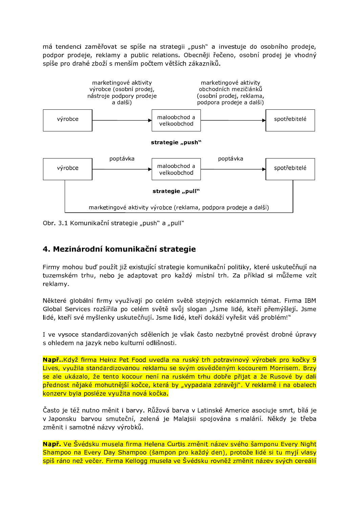má tendenci zaměřovat se spíše na strategii "push" a investuje do osobního prodeje, podpor prodeje, reklamy a public relations. Obecněji řečeno, osobní prodej je vhodný spíše pro drahé zboží s menším počtem větších zákazníků.



Obr. 3.1 Komunikační strategie "push" a "pull"

# 4. Mezinárodní komunikační strategie

Firmy mohou buď použít již existující strategie komunikační politiky, které uskutečňují na tuzemském trhu, nebo je adaptovat pro každý místní trh. Za příklad si můžeme vzít reklamy.

Některé globální firmy využívají po celém světě stejných reklamních témat. Firma IBM Global Services rozšířila po celém světě svůj slogan "Jsme lidé, kteří přemýšlejí. Jsme lidé, kteří své myšlenky uskutečňují. Jsme lidé, kteří dokáží vyřešit váš problém!"

I ve vysoce standardizovaných sděleních je však často nezbytné provést drobné úpravy s ohledem na jazyk nebo kulturní odlišnosti.

Např. Když firma Heinz Pet Food uvedla na ruský trh potravinový výrobek pro kočky 9 Lives, využila standardizovanou reklamu se svým osvědčeným kocourem Morrisem. Brzy se ale ukázalo, že tento kocour není na ruském trhu dobře přijat a že Rusové by dali přednost nějaké mohutnější kočce, která by "vypadala zdravěji". V reklamě i na obalech konzerv byla posléze využita nová kočka.

Často je též nutno měnit i barvy. Růžová barva v Latinské Americe asociuje smrt, bílá je v Japonsku barvou smuteční, zelená je Malajsii spojována s malárií. Někdy je třeba změnit i samotné názvy výrobků.

Např. Ve Švédsku musela firma Helena Curtis změnit název svého šamponu Every Night Shampoo na Every Day Shampoo (šampon pro každý den), protože lidé si tu myjí vlasy spíš ráno než večer. Firma Kellogg musela ve Švédsku rovněž změnit název svých cereálií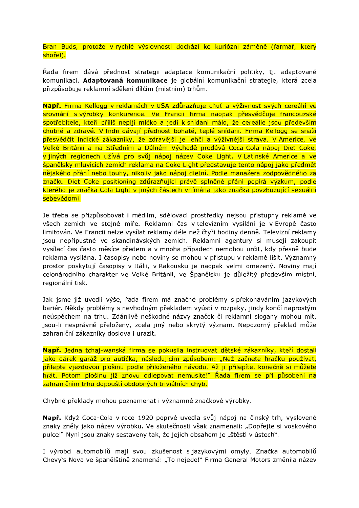Bran Buds, protože v rychlé výslovnosti dochází ke kuriózní záměně (farmář, který shořel).

Řada firem dává přednost strategii adaptace komunikační politiky, tj. adaptované komunikaci. Adaptovaná komunikace je globální komunikační strategie, která zcela přizpůsobuje reklamní sdělení dílčím (místním) trhům.

Např. Firma Kellogg v reklamách v USA zdůrazňuje chuť a výživnost svých cereálií ve srovnání s výrobky konkurence. Ve Francii firma naopak přesvědčuje francouzské spotřebitele, kteří příliš nepijí mléko a jedí k snídaní málo, že cereálie jsou především chutné a zdravé. V Indii dávají přednost bohaté, teplé snídani. Firma Kellogg se snaží přesvědčit indické zákazníky, že zdravější je lehčí a výživnější strava. V Americe, ve Velké Británii a na Středním a Dálném Východě prodává Coca-Cola nápoj Diet Coke, v jiných regionech užívá pro svůj nápoj název Coke Light. V Latinské Americe a ve španělsky mluvících zemích reklama na Coke Light představuje tento nápoj jako předmět nějakého přání nebo touhy, nikoliv jako nápoj dietní. Podle manažera zodpovědného za značku Diet Coke positioning zdůrazňující právě splněné přání popírá výzkum, podle kterého je značka Cola Light v jiných částech vnímána jako značka povzbuzující sexuální sebevědomí.

Je třeba se přizpůsobovat i médiím, sdělovací prostředky nejsou přístupny reklamě ve všech zemích ve stejné míře. Reklamní čas v televizním vysílání je v Evropě často limitován. Ve Francii nelze vysílat reklamy déle než čtyři hodiny denně. Televizní reklamy jsou nepřípustné ve skandinávských zemích. Reklamní agentury si musejí zakoupit vysílací čas často měsíce předem a v mnoha případech nemohou určit, kdy přesně bude reklama vysílána. I časopisy nebo noviny se mohou v přístupu v reklamě lišit. Významný prostor poskytují časopisy v Itálii, v Rakousku je naopak velmi omezený. Noviny mají celonárodního charakter ve Velké Británii, ve Španělsku je důležitý především místní, regionální tisk.

Jak jsme již uvedli výše, řada firem má značné problémy s překonáváním jazykových bariér. Někdy problémy s nevhodným překladem vyústí v rozpaky, jindy končí naprostým neúspěchem na trhu. Zdánlivě neškodné názvy značek či reklamní slogany mohou mít, jsou-li nesprávně přeloženy, zcela jiný nebo skrytý význam. Nepozorný překlad může zahraniční zákazníky doslova i urazit.

Např. Jedna tchaj-wanská firma se pokusila instruovat dětské zákazníky, kteří dostali jako dárek garáž pro autíčka, následujícím způsobem: "Než začnete hračku používat, přilepte vjezdovou plošinu podle přiloženého návodu. Až ji přilepíte, konečně si můžete hrát. Potom plošinu již znovu odlepovat nemusíte!" Řada firem se při působení na zahraničním trhu dopouští obdobných triviálních chyb.

Chybné překlady mohou poznamenat i významné značkové výrobky.

Např. Když Coca-Cola v roce 1920 poprvé uvedla svůj nápoj na čínský trh, vyslovené znaky zněly jako název výrobku. Ve skutečnosti však znamenali: "Dopřejte si voskového pulce!" Nyní jsou znaky sestaveny tak, že jejich obsahem je "štěstí v ústech".

I výrobci automobilů mají svou zkušenost s jazykovými omyly. Značka automobilů Chevy's Nova ve španělštině znamená: "To nejede!" Firma General Motors změnila název